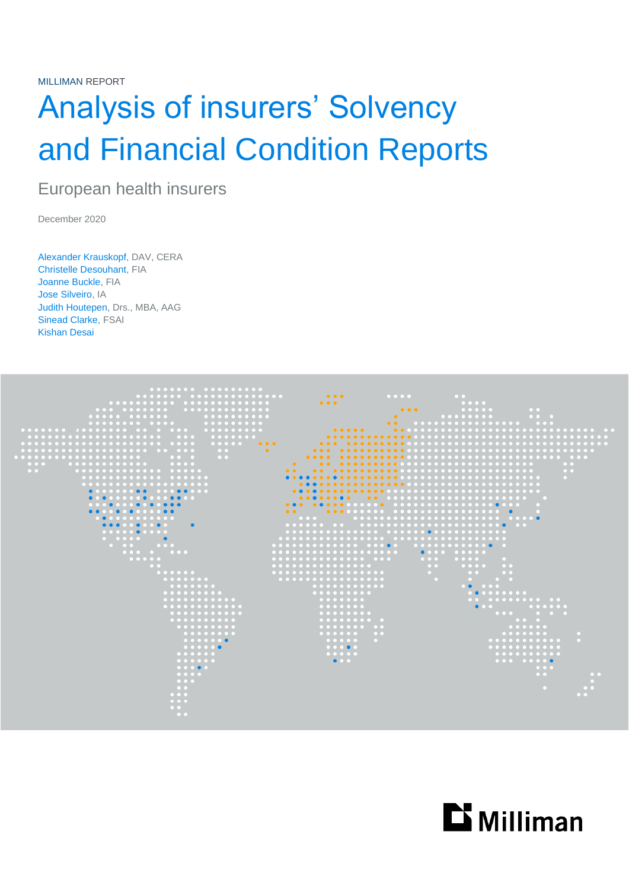MILLIMAN REPORT

# Analysis of insurers' Solvency and Financial Condition Reports

European health insurers

December 2020

Alexander Krauskopf, DAV, CERA Christelle Desouhant, FIA Joanne Buckle, FIA Jose Silveiro, IA Judith Houtepen, Drs., MBA, AAG Sinead Clarke, FSAI Kishan Desai



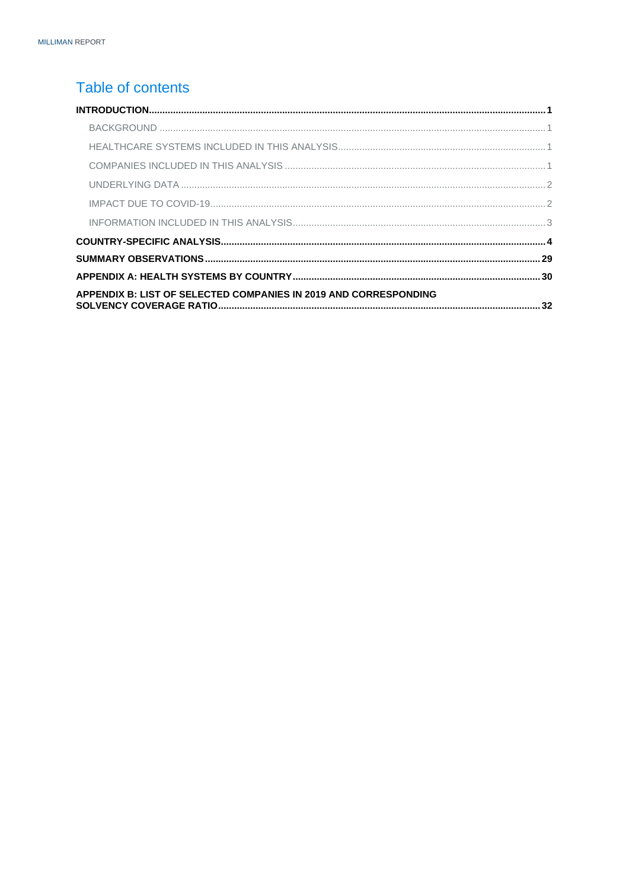### Table of contents

| APPENDIX B: LIST OF SELECTED COMPANIES IN 2019 AND CORRESPONDING |  |
|------------------------------------------------------------------|--|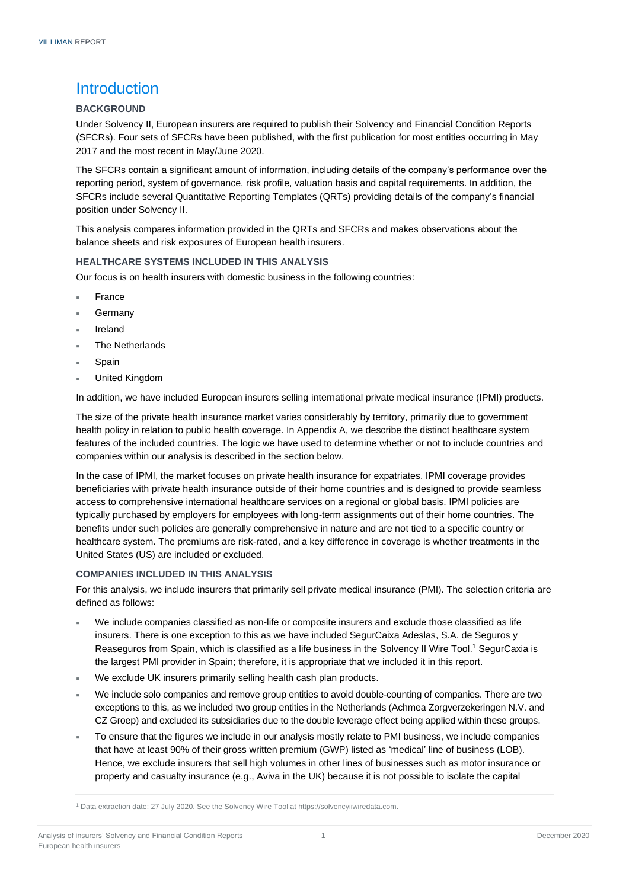### <span id="page-2-0"></span>Introduction

#### <span id="page-2-1"></span>**BACKGROUND**

Under Solvency II, European insurers are required to publish their Solvency and Financial Condition Reports (SFCRs). Four sets of SFCRs have been published, with the first publication for most entities occurring in May 2017 and the most recent in May/June 2020.

The SFCRs contain a significant amount of information, including details of the company's performance over the reporting period, system of governance, risk profile, valuation basis and capital requirements. In addition, the SFCRs include several Quantitative Reporting Templates (QRTs) providing details of the company's financial position under Solvency II.

This analysis compares information provided in the QRTs and SFCRs and makes observations about the balance sheets and risk exposures of European health insurers.

#### <span id="page-2-2"></span>**HEALTHCARE SYSTEMS INCLUDED IN THIS ANALYSIS**

Our focus is on health insurers with domestic business in the following countries:

- France
- Germany
- Ireland
- The Netherlands
- **Spain**
- United Kingdom

In addition, we have included European insurers selling international private medical insurance (IPMI) products.

The size of the private health insurance market varies considerably by territory, primarily due to government health policy in relation to public health coverage. In Appendix A, we describe the distinct healthcare system features of the included countries. The logic we have used to determine whether or not to include countries and companies within our analysis is described in the section below.

In the case of IPMI, the market focuses on private health insurance for expatriates. IPMI coverage provides beneficiaries with private health insurance outside of their home countries and is designed to provide seamless access to comprehensive international healthcare services on a regional or global basis. IPMI policies are typically purchased by employers for employees with long-term assignments out of their home countries. The benefits under such policies are generally comprehensive in nature and are not tied to a specific country or healthcare system. The premiums are risk-rated, and a key difference in coverage is whether treatments in the United States (US) are included or excluded.

#### <span id="page-2-3"></span>**COMPANIES INCLUDED IN THIS ANALYSIS**

For this analysis, we include insurers that primarily sell private medical insurance (PMI). The selection criteria are defined as follows:

- We include companies classified as non-life or composite insurers and exclude those classified as life insurers. There is one exception to this as we have included SegurCaixa Adeslas, S.A. de Seguros y Reaseguros from Spain, which is classified as a life business in the Solvency II Wire Tool. <sup>1</sup> SegurCaxia is the largest PMI provider in Spain; therefore, it is appropriate that we included it in this report.
- We exclude UK insurers primarily selling health cash plan products.
- We include solo companies and remove group entities to avoid double-counting of companies. There are two exceptions to this, as we included two group entities in the Netherlands (Achmea Zorgverzekeringen N.V. and CZ Groep) and excluded its subsidiaries due to the double leverage effect being applied within these groups.
- To ensure that the figures we include in our analysis mostly relate to PMI business, we include companies that have at least 90% of their gross written premium (GWP) listed as 'medical' line of business (LOB). Hence, we exclude insurers that sell high volumes in other lines of businesses such as motor insurance or property and casualty insurance (e.g., Aviva in the UK) because it is not possible to isolate the capital

<sup>1</sup> Data extraction date: 27 July 2020. See the Solvency Wire Tool at https://solvencyiiwiredata.com.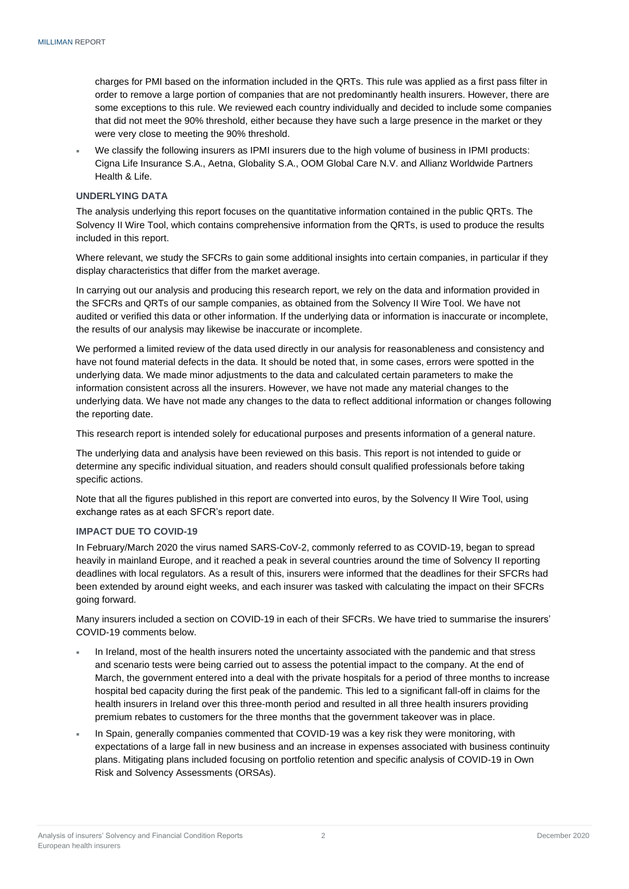charges for PMI based on the information included in the QRTs. This rule was applied as a first pass filter in order to remove a large portion of companies that are not predominantly health insurers. However, there are some exceptions to this rule. We reviewed each country individually and decided to include some companies that did not meet the 90% threshold, either because they have such a large presence in the market or they were very close to meeting the 90% threshold.

 We classify the following insurers as IPMI insurers due to the high volume of business in IPMI products: Cigna Life Insurance S.A., Aetna, Globality S.A., OOM Global Care N.V. and Allianz Worldwide Partners Health & Life.

#### <span id="page-3-0"></span>**UNDERLYING DATA**

The analysis underlying this report focuses on the quantitative information contained in the public QRTs. The Solvency II Wire Tool, which contains comprehensive information from the QRTs, is used to produce the results included in this report.

Where relevant, we study the SFCRs to gain some additional insights into certain companies, in particular if they display characteristics that differ from the market average.

In carrying out our analysis and producing this research report, we rely on the data and information provided in the SFCRs and QRTs of our sample companies, as obtained from the Solvency II Wire Tool. We have not audited or verified this data or other information. If the underlying data or information is inaccurate or incomplete, the results of our analysis may likewise be inaccurate or incomplete.

We performed a limited review of the data used directly in our analysis for reasonableness and consistency and have not found material defects in the data. It should be noted that, in some cases, errors were spotted in the underlying data. We made minor adjustments to the data and calculated certain parameters to make the information consistent across all the insurers. However, we have not made any material changes to the underlying data. We have not made any changes to the data to reflect additional information or changes following the reporting date.

This research report is intended solely for educational purposes and presents information of a general nature.

The underlying data and analysis have been reviewed on this basis. This report is not intended to guide or determine any specific individual situation, and readers should consult qualified professionals before taking specific actions.

Note that all the figures published in this report are converted into euros, by the Solvency II Wire Tool, using exchange rates as at each SFCR's report date.

#### <span id="page-3-1"></span>**IMPACT DUE TO COVID-19**

In February/March 2020 the virus named SARS-CoV-2, commonly referred to as COVID-19, began to spread heavily in mainland Europe, and it reached a peak in several countries around the time of Solvency II reporting deadlines with local regulators. As a result of this, insurers were informed that the deadlines for their SFCRs had been extended by around eight weeks, and each insurer was tasked with calculating the impact on their SFCRs going forward.

Many insurers included a section on COVID-19 in each of their SFCRs. We have tried to summarise the insurers' COVID-19 comments below.

- In Ireland, most of the health insurers noted the uncertainty associated with the pandemic and that stress and scenario tests were being carried out to assess the potential impact to the company. At the end of March, the government entered into a deal with the private hospitals for a period of three months to increase hospital bed capacity during the first peak of the pandemic. This led to a significant fall-off in claims for the health insurers in Ireland over this three-month period and resulted in all three health insurers providing premium rebates to customers for the three months that the government takeover was in place.
- In Spain, generally companies commented that COVID-19 was a key risk they were monitoring, with expectations of a large fall in new business and an increase in expenses associated with business continuity plans. Mitigating plans included focusing on portfolio retention and specific analysis of COVID-19 in Own Risk and Solvency Assessments (ORSAs).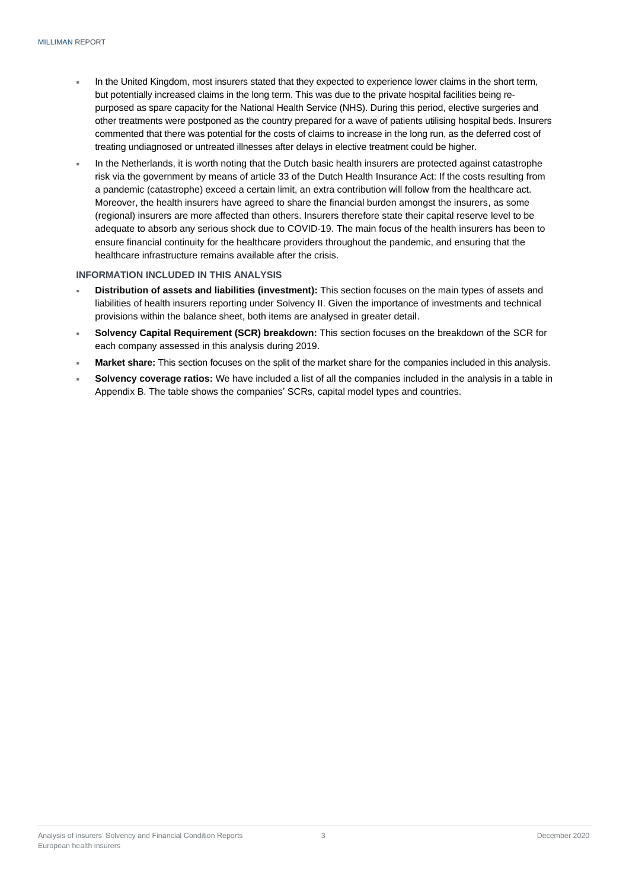- In the United Kingdom, most insurers stated that they expected to experience lower claims in the short term, but potentially increased claims in the long term. This was due to the private hospital facilities being repurposed as spare capacity for the National Health Service (NHS). During this period, elective surgeries and other treatments were postponed as the country prepared for a wave of patients utilising hospital beds. Insurers commented that there was potential for the costs of claims to increase in the long run, as the deferred cost of treating undiagnosed or untreated illnesses after delays in elective treatment could be higher.
- In the Netherlands, it is worth noting that the Dutch basic health insurers are protected against catastrophe risk via the government by means of article 33 of the Dutch Health Insurance Act: If the costs resulting from a pandemic (catastrophe) exceed a certain limit, an extra contribution will follow from the healthcare act. Moreover, the health insurers have agreed to share the financial burden amongst the insurers, as some (regional) insurers are more affected than others. Insurers therefore state their capital reserve level to be adequate to absorb any serious shock due to COVID-19. The main focus of the health insurers has been to ensure financial continuity for the healthcare providers throughout the pandemic, and ensuring that the healthcare infrastructure remains available after the crisis.

#### <span id="page-4-0"></span>**INFORMATION INCLUDED IN THIS ANALYSIS**

- **Distribution of assets and liabilities (investment):** This section focuses on the main types of assets and liabilities of health insurers reporting under Solvency II. Given the importance of investments and technical provisions within the balance sheet, both items are analysed in greater detail.
- **Solvency Capital Requirement (SCR) breakdown:** This section focuses on the breakdown of the SCR for each company assessed in this analysis during 2019.
- **Market share:** This section focuses on the split of the market share for the companies included in this analysis.
- <span id="page-4-1"></span> **Solvency coverage ratios:** We have included a list of all the companies included in the analysis in a table in Appendix B. The table shows the companies' SCRs, capital model types and countries.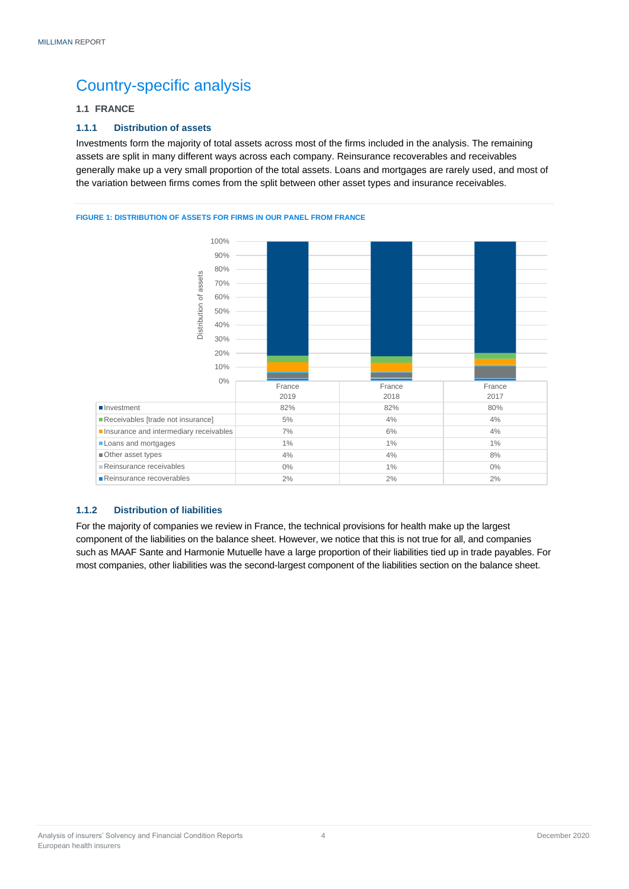### Country-specific analysis

#### **1.1 FRANCE**

#### **1.1.1 Distribution of assets**

Investments form the majority of total assets across most of the firms included in the analysis. The remaining assets are split in many different ways across each company. Reinsurance recoverables and receivables generally make up a very small proportion of the total assets. Loans and mortgages are rarely used, and most of the variation between firms comes from the split between other asset types and insurance receivables.

#### **FIGURE 1: DISTRIBUTION OF ASSETS FOR FIRMS IN OUR PANEL FROM FRANCE**



#### **1.1.2 Distribution of liabilities**

For the majority of companies we review in France, the technical provisions for health make up the largest component of the liabilities on the balance sheet. However, we notice that this is not true for all, and companies such as MAAF Sante and Harmonie Mutuelle have a large proportion of their liabilities tied up in trade payables. For most companies, other liabilities was the second-largest component of the liabilities section on the balance sheet.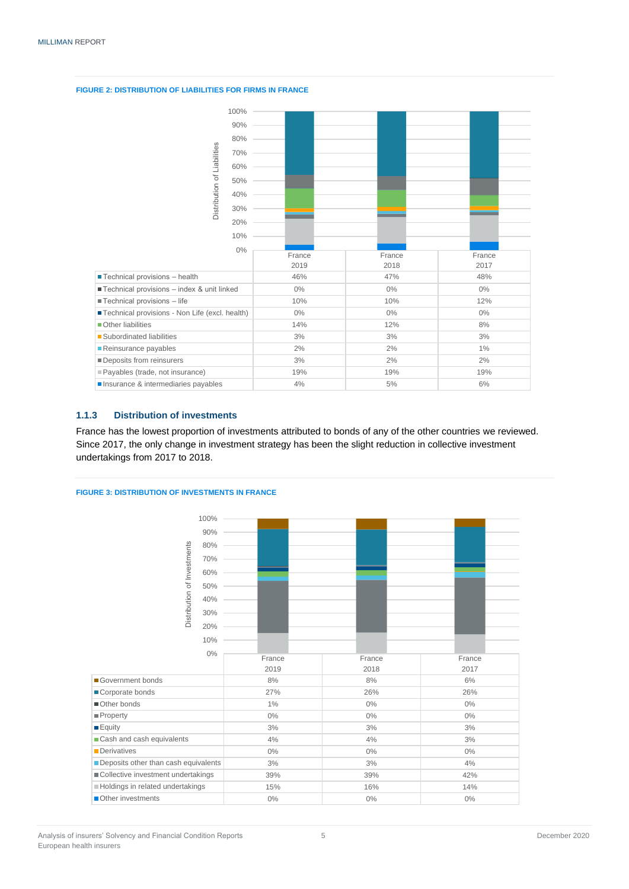#### **FIGURE 2: DISTRIBUTION OF LIABILITIES FOR FIRMS IN FRANCE**



#### **1.1.3 Distribution of investments**

France has the lowest proportion of investments attributed to bonds of any of the other countries we reviewed. Since 2017, the only change in investment strategy has been the slight reduction in collective investment undertakings from 2017 to 2018.



#### **FIGURE 3: DISTRIBUTION OF INVESTMENTS IN FRANCE**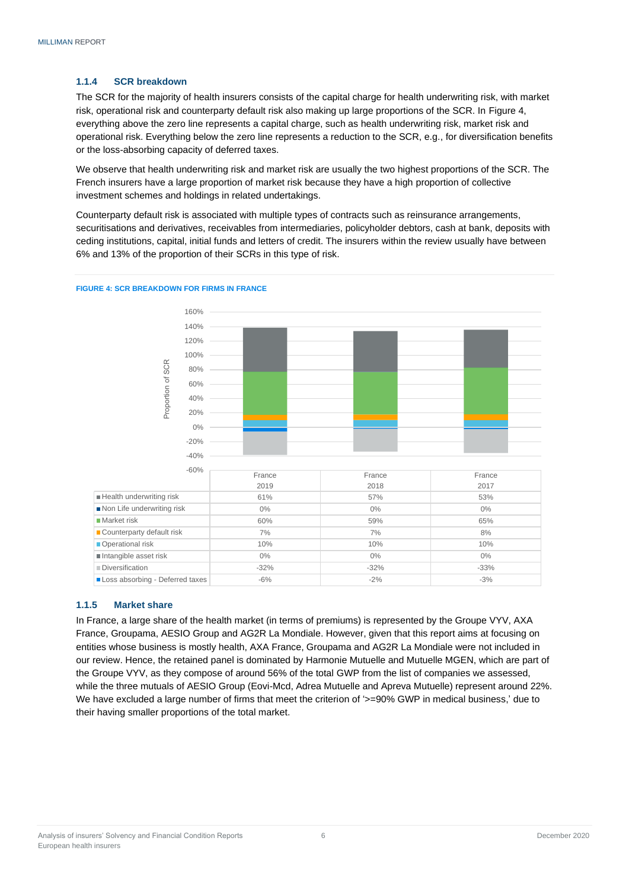#### **1.1.4 SCR breakdown**

The SCR for the majority of health insurers consists of the capital charge for health underwriting risk, with market risk, operational risk and counterparty default risk also making up large proportions of the SCR. In Figure 4, everything above the zero line represents a capital charge, such as health underwriting risk, market risk and operational risk. Everything below the zero line represents a reduction to the SCR, e.g., for diversification benefits or the loss-absorbing capacity of deferred taxes.

We observe that health underwriting risk and market risk are usually the two highest proportions of the SCR. The French insurers have a large proportion of market risk because they have a high proportion of collective investment schemes and holdings in related undertakings.

Counterparty default risk is associated with multiple types of contracts such as reinsurance arrangements, securitisations and derivatives, receivables from intermediaries, policyholder debtors, cash at bank, deposits with ceding institutions, capital, initial funds and letters of credit. The insurers within the review usually have between 6% and 13% of the proportion of their SCRs in this type of risk.



#### **FIGURE 4: SCR BREAKDOWN FOR FIRMS IN FRANCE**

#### **1.1.5 Market share**

In France, a large share of the health market (in terms of premiums) is represented by the Groupe VYV, AXA France, Groupama, AESIO Group and AG2R La Mondiale. However, given that this report aims at focusing on entities whose business is mostly health, AXA France, Groupama and AG2R La Mondiale were not included in our review. Hence, the retained panel is dominated by Harmonie Mutuelle and Mutuelle MGEN, which are part of the Groupe VYV, as they compose of around 56% of the total GWP from the list of companies we assessed, while the three mutuals of AESIO Group (Eovi-Mcd, Adrea Mutuelle and Apreva Mutuelle) represent around 22%. We have excluded a large number of firms that meet the criterion of '>=90% GWP in medical business,' due to their having smaller proportions of the total market.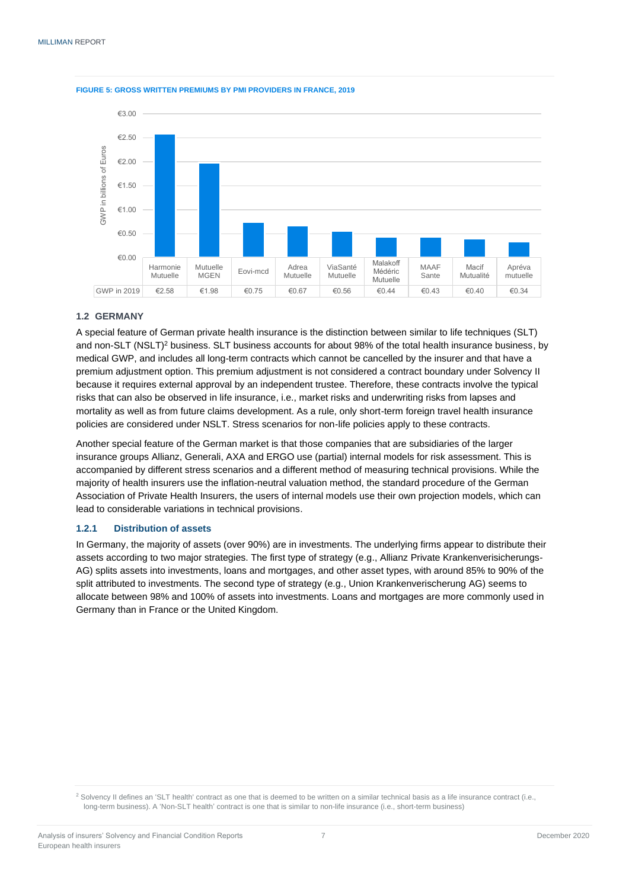

#### **FIGURE 5: GROSS WRITTEN PREMIUMS BY PMI PROVIDERS IN FRANCE, 2019**

#### **1.2 GERMANY**

A special feature of German private health insurance is the distinction between similar to life techniques (SLT) and non-SLT (NSLT)<sup>2</sup> business. SLT business accounts for about 98% of the total health insurance business, by medical GWP, and includes all long-term contracts which cannot be cancelled by the insurer and that have a premium adjustment option. This premium adjustment is not considered a contract boundary under Solvency II because it requires external approval by an independent trustee. Therefore, these contracts involve the typical risks that can also be observed in life insurance, i.e., market risks and underwriting risks from lapses and mortality as well as from future claims development. As a rule, only short-term foreign travel health insurance policies are considered under NSLT. Stress scenarios for non-life policies apply to these contracts.

Another special feature of the German market is that those companies that are subsidiaries of the larger insurance groups Allianz, Generali, AXA and ERGO use (partial) internal models for risk assessment. This is accompanied by different stress scenarios and a different method of measuring technical provisions. While the majority of health insurers use the inflation-neutral valuation method, the standard procedure of the German Association of Private Health Insurers, the users of internal models use their own projection models, which can lead to considerable variations in technical provisions.

#### **1.2.1 Distribution of assets**

In Germany, the majority of assets (over 90%) are in investments. The underlying firms appear to distribute their assets according to two major strategies. The first type of strategy (e.g., Allianz Private Krankenverisicherungs-AG) splits assets into investments, loans and mortgages, and other asset types, with around 85% to 90% of the split attributed to investments. The second type of strategy (e.g., Union Krankenverischerung AG) seems to allocate between 98% and 100% of assets into investments. Loans and mortgages are more commonly used in Germany than in France or the United Kingdom.

<sup>2</sup> Solvency II defines an 'SLT health' contract as one that is deemed to be written on a similar technical basis as a life insurance contract (i.e., long-term business). A 'Non-SLT health' contract is one that is similar to non-life insurance (i.e., short-term business)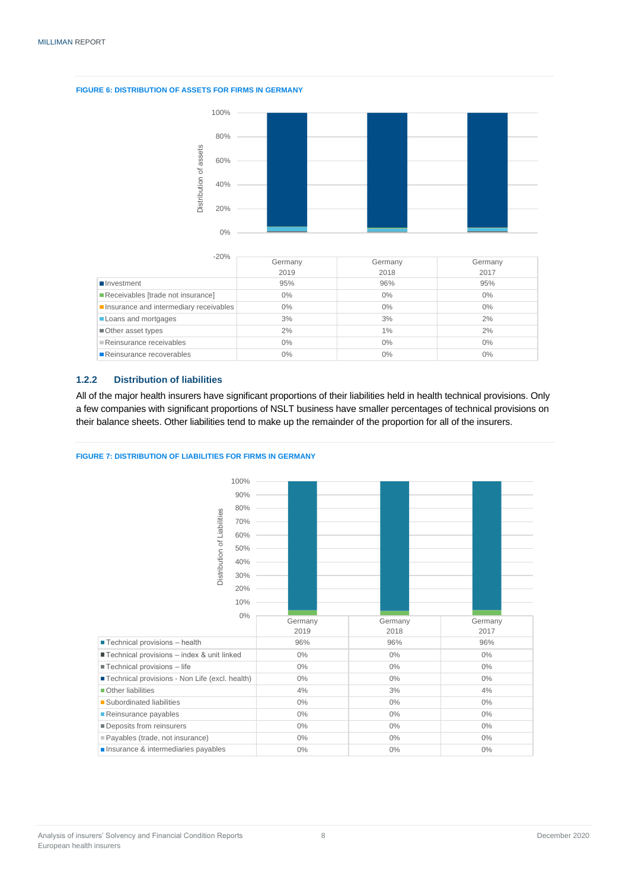#### **FIGURE 6: DISTRIBUTION OF ASSETS FOR FIRMS IN GERMANY**

-20%



| −∠∪%                                   | Germany | Germany | Germany |
|----------------------------------------|---------|---------|---------|
|                                        | 2019    | 2018    | 2017    |
| ■Investment                            | 95%     | 96%     | 95%     |
| Receivables [trade not insurance]      | $0\%$   | $0\%$   | $0\%$   |
| Insurance and intermediary receivables | $0\%$   | $0\%$   | $0\%$   |
| Loans and mortgages                    | 3%      | 3%      | 2%      |
| Other asset types                      | 2%      | 1%      | 2%      |
| Reinsurance receivables                | $0\%$   | $0\%$   | $0\%$   |
| Reinsurance recoverables               | $0\%$   | $0\%$   | $0\%$   |

#### **1.2.2 Distribution of liabilities**

All of the major health insurers have significant proportions of their liabilities held in health technical provisions. Only a few companies with significant proportions of NSLT business have smaller percentages of technical provisions on their balance sheets. Other liabilities tend to make up the remainder of the proportion for all of the insurers.

#### **FIGURE 7: DISTRIBUTION OF LIABILITIES FOR FIRMS IN GERMANY**

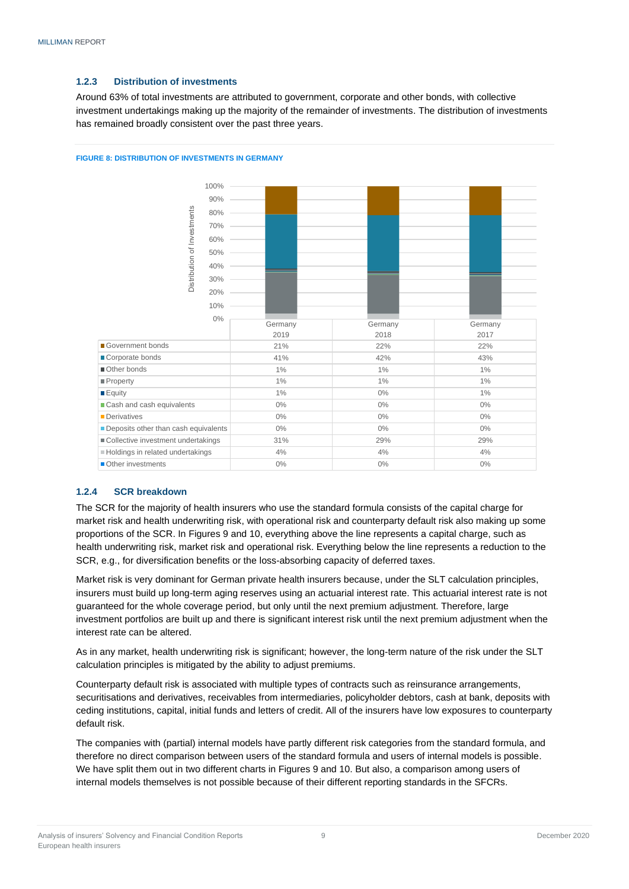#### **1.2.3 Distribution of investments**

Around 63% of total investments are attributed to government, corporate and other bonds, with collective investment undertakings making up the majority of the remainder of investments. The distribution of investments has remained broadly consistent over the past three years.



#### **FIGURE 8: DISTRIBUTION OF INVESTMENTS IN GERMANY**

#### **1.2.4 SCR breakdown**

The SCR for the majority of health insurers who use the standard formula consists of the capital charge for market risk and health underwriting risk, with operational risk and counterparty default risk also making up some proportions of the SCR. In Figures 9 and 10, everything above the line represents a capital charge, such as health underwriting risk, market risk and operational risk. Everything below the line represents a reduction to the SCR, e.g., for diversification benefits or the loss-absorbing capacity of deferred taxes.

Market risk is very dominant for German private health insurers because, under the SLT calculation principles, insurers must build up long-term aging reserves using an actuarial interest rate. This actuarial interest rate is not guaranteed for the whole coverage period, but only until the next premium adjustment. Therefore, large investment portfolios are built up and there is significant interest risk until the next premium adjustment when the interest rate can be altered.

As in any market, health underwriting risk is significant; however, the long-term nature of the risk under the SLT calculation principles is mitigated by the ability to adjust premiums.

Counterparty default risk is associated with multiple types of contracts such as reinsurance arrangements, securitisations and derivatives, receivables from intermediaries, policyholder debtors, cash at bank, deposits with ceding institutions, capital, initial funds and letters of credit. All of the insurers have low exposures to counterparty default risk.

The companies with (partial) internal models have partly different risk categories from the standard formula, and therefore no direct comparison between users of the standard formula and users of internal models is possible. We have split them out in two different charts in Figures 9 and 10. But also, a comparison among users of internal models themselves is not possible because of their different reporting standards in the SFCRs.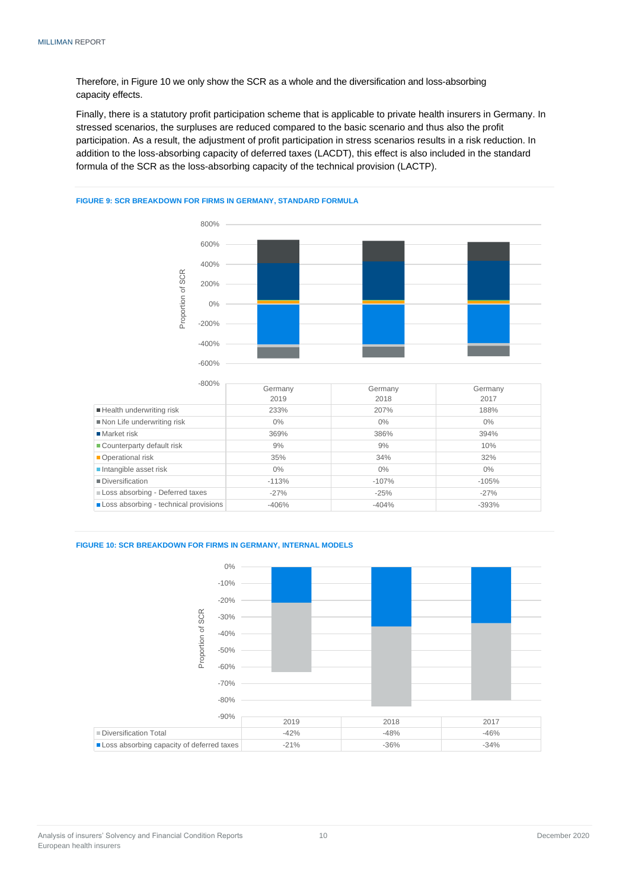Therefore, in Figure 10 we only show the SCR as a whole and the diversification and loss-absorbing capacity effects.

Finally, there is a statutory profit participation scheme that is applicable to private health insurers in Germany. In stressed scenarios, the surpluses are reduced compared to the basic scenario and thus also the profit participation. As a result, the adjustment of profit participation in stress scenarios results in a risk reduction. In addition to the loss-absorbing capacity of deferred taxes (LACDT), this effect is also included in the standard formula of the SCR as the loss-absorbing capacity of the technical provision (LACTP).



#### **FIGURE 9: SCR BREAKDOWN FOR FIRMS IN GERMANY, STANDARD FORMULA**



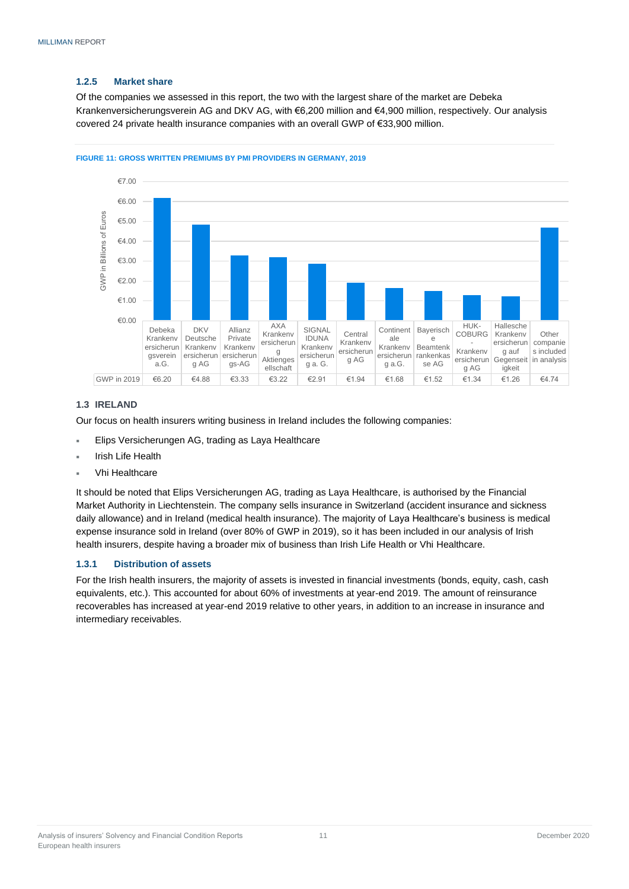#### **1.2.5 Market share**

Of the companies we assessed in this report, the two with the largest share of the market are Debeka Krankenversicherungsverein AG and DKV AG, with €6,200 million and €4,900 million, respectively. Our analysis covered 24 private health insurance companies with an overall GWP of €33,900 million.



#### **FIGURE 11: GROSS WRITTEN PREMIUMS BY PMI PROVIDERS IN GERMANY, 2019**

#### **1.3 IRELAND**

Our focus on health insurers writing business in Ireland includes the following companies:

- Elips Versicherungen AG, trading as Laya Healthcare
- Irish Life Health
- Vhi Healthcare

It should be noted that Elips Versicherungen AG, trading as Laya Healthcare, is authorised by the Financial Market Authority in Liechtenstein. The company sells insurance in Switzerland (accident insurance and sickness daily allowance) and in Ireland (medical health insurance). The majority of Laya Healthcare's business is medical expense insurance sold in Ireland (over 80% of GWP in 2019), so it has been included in our analysis of Irish health insurers, despite having a broader mix of business than Irish Life Health or Vhi Healthcare.

#### **1.3.1 Distribution of assets**

For the Irish health insurers, the majority of assets is invested in financial investments (bonds, equity, cash, cash equivalents, etc.). This accounted for about 60% of investments at year-end 2019. The amount of reinsurance recoverables has increased at year-end 2019 relative to other years, in addition to an increase in insurance and intermediary receivables.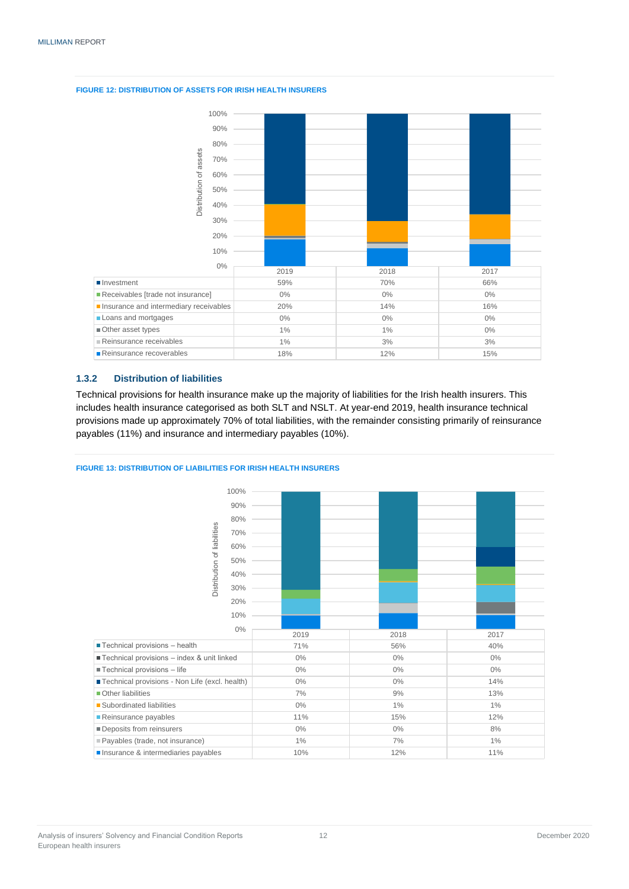#### **FIGURE 12: DISTRIBUTION OF ASSETS FOR IRISH HEALTH INSURERS**



#### **1.3.2 Distribution of liabilities**

Technical provisions for health insurance make up the majority of liabilities for the Irish health insurers. This includes health insurance categorised as both SLT and NSLT. At year-end 2019, health insurance technical provisions made up approximately 70% of total liabilities, with the remainder consisting primarily of reinsurance payables (11%) and insurance and intermediary payables (10%).



#### **FIGURE 13: DISTRIBUTION OF LIABILITIES FOR IRISH HEALTH INSURERS**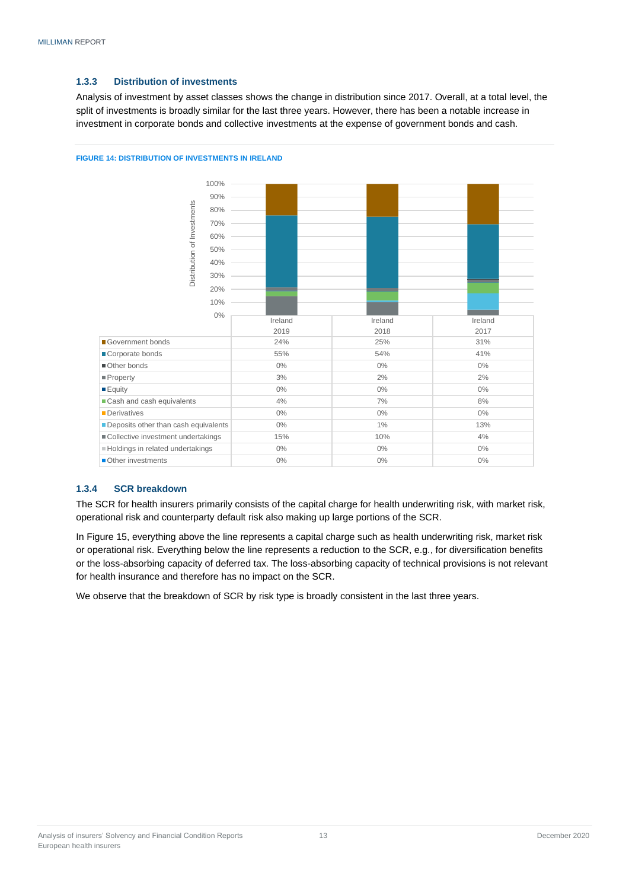#### **1.3.3 Distribution of investments**

Analysis of investment by asset classes shows the change in distribution since 2017. Overall, at a total level, the split of investments is broadly similar for the last three years. However, there has been a notable increase in investment in corporate bonds and collective investments at the expense of government bonds and cash.



#### **FIGURE 14: DISTRIBUTION OF INVESTMENTS IN IRELAND**

#### **1.3.4 SCR breakdown**

The SCR for health insurers primarily consists of the capital charge for health underwriting risk, with market risk, operational risk and counterparty default risk also making up large portions of the SCR.

In Figure 15, everything above the line represents a capital charge such as health underwriting risk, market risk or operational risk. Everything below the line represents a reduction to the SCR, e.g., for diversification benefits or the loss-absorbing capacity of deferred tax. The loss-absorbing capacity of technical provisions is not relevant for health insurance and therefore has no impact on the SCR.

We observe that the breakdown of SCR by risk type is broadly consistent in the last three years.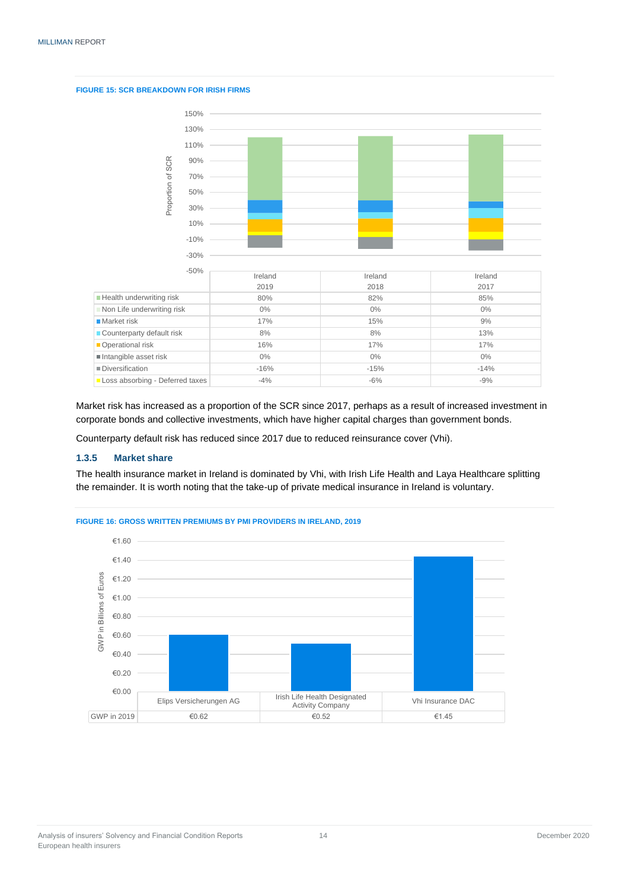**FIGURE 15: SCR BREAKDOWN FOR IRISH FIRMS**



| -50%                            | Ireland | Ireland | Ireland |
|---------------------------------|---------|---------|---------|
|                                 | 2019    | 2018    | 2017    |
| <b>Health underwriting risk</b> | 80%     | 82%     | 85%     |
| Non Life underwriting risk      | $0\%$   | $0\%$   | $0\%$   |
| ■ Market risk                   | 17%     | 15%     | 9%      |
| Counterparty default risk       | 8%      | 8%      | 13%     |
| Operational risk                | 16%     | 17%     | 17%     |
| Intangible asset risk           | $0\%$   | $0\%$   | $0\%$   |
| Diversification                 | $-16%$  | $-15%$  | $-14%$  |
| Loss absorbing - Deferred taxes | $-4%$   | $-6%$   | $-9%$   |

Market risk has increased as a proportion of the SCR since 2017, perhaps as a result of increased investment in corporate bonds and collective investments, which have higher capital charges than government bonds.

Counterparty default risk has reduced since 2017 due to reduced reinsurance cover (Vhi).

### **1.3.5 Market share**

The health insurance market in Ireland is dominated by Vhi, with Irish Life Health and Laya Healthcare splitting the remainder. It is worth noting that the take-up of private medical insurance in Ireland is voluntary.





Analysis of insurers' Solvency and Financial Condition Reports 14 14 The state of the state of the December 2020 European health insurers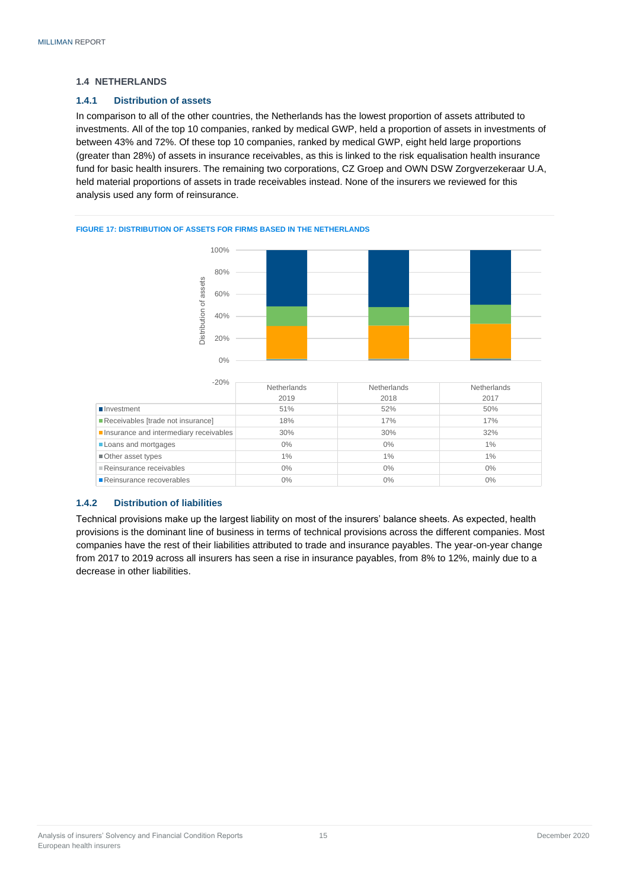#### **1.4 NETHERLANDS**

#### **1.4.1 Distribution of assets**

In comparison to all of the other countries, the Netherlands has the lowest proportion of assets attributed to investments. All of the top 10 companies, ranked by medical GWP, held a proportion of assets in investments of between 43% and 72%. Of these top 10 companies, ranked by medical GWP, eight held large proportions (greater than 28%) of assets in insurance receivables, as this is linked to the risk equalisation health insurance fund for basic health insurers. The remaining two corporations, CZ Groep and OWN DSW Zorgverzekeraar U.A, held material proportions of assets in trade receivables instead. None of the insurers we reviewed for this analysis used any form of reinsurance.





| Netherlands | Netherlands | <b>Netherlands</b> |
|-------------|-------------|--------------------|
| 2019        | 2018        | 2017               |
| 51%         | 52%         | 50%                |
| 18%         | 17%         | 17%                |
| 30%         | 30%         | 32%                |
| $0\%$       | $0\%$       | 1%                 |
| 1%          | 1%          | 1%                 |
| $0\%$       | $0\%$       | $0\%$              |
| $0\%$       | $0\%$       | $0\%$              |
|             |             |                    |

#### **1.4.2 Distribution of liabilities**

Technical provisions make up the largest liability on most of the insurers' balance sheets. As expected, health provisions is the dominant line of business in terms of technical provisions across the different companies. Most companies have the rest of their liabilities attributed to trade and insurance payables. The year-on-year change from 2017 to 2019 across all insurers has seen a rise in insurance payables, from 8% to 12%, mainly due to a decrease in other liabilities.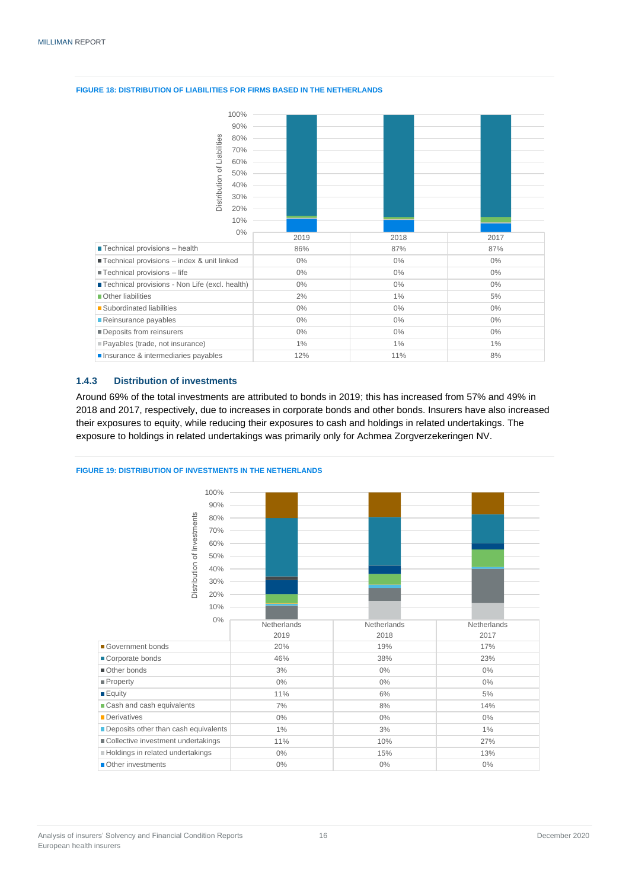



#### **1.4.3 Distribution of investments**

Around 69% of the total investments are attributed to bonds in 2019; this has increased from 57% and 49% in 2018 and 2017, respectively, due to increases in corporate bonds and other bonds. Insurers have also increased their exposures to equity, while reducing their exposures to cash and holdings in related undertakings. The exposure to holdings in related undertakings was primarily only for Achmea Zorgverzekeringen NV.



#### **FIGURE 19: DISTRIBUTION OF INVESTMENTS IN THE NETHERLANDS**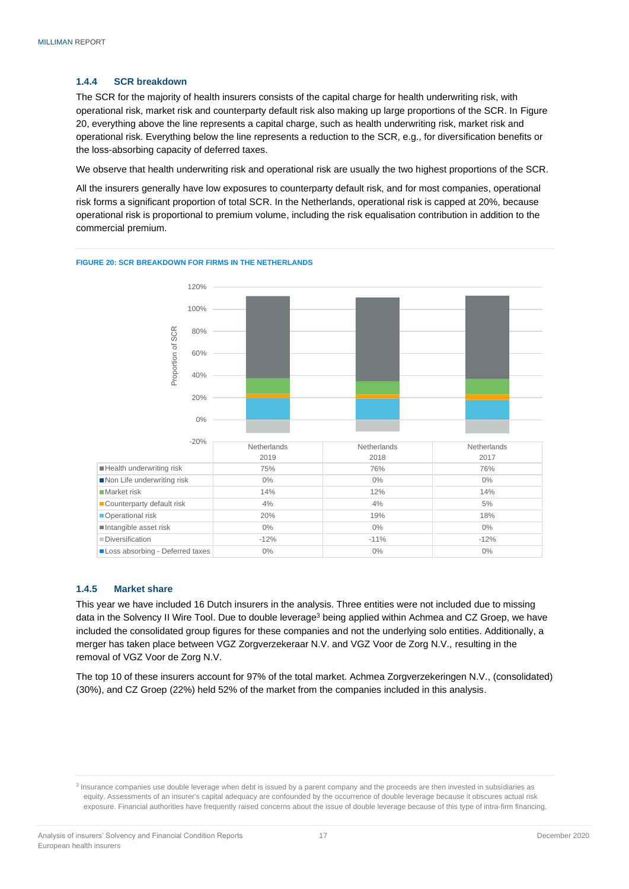#### **1.4.4 SCR breakdown**

The SCR for the majority of health insurers consists of the capital charge for health underwriting risk, with operational risk, market risk and counterparty default risk also making up large proportions of the SCR. In Figure 20, everything above the line represents a capital charge, such as health underwriting risk, market risk and operational risk. Everything below the line represents a reduction to the SCR, e.g., for diversification benefits or the loss-absorbing capacity of deferred taxes.

We observe that health underwriting risk and operational risk are usually the two highest proportions of the SCR.

All the insurers generally have low exposures to counterparty default risk, and for most companies, operational risk forms a significant proportion of total SCR. In the Netherlands, operational risk is capped at 20%, because operational risk is proportional to premium volume, including the risk equalisation contribution in addition to the commercial premium.

#### **FIGURE 20: SCR BREAKDOWN FOR FIRMS IN THE NETHERLANDS**



#### **1.4.5 Market share**

This year we have included 16 Dutch insurers in the analysis. Three entities were not included due to missing data in the Solvency II Wire Tool. Due to double leverage<sup>3</sup> being applied within Achmea and CZ Groep, we have included the consolidated group figures for these companies and not the underlying solo entities. Additionally, a merger has taken place between VGZ Zorgverzekeraar N.V. and VGZ Voor de Zorg N.V., resulting in the removal of VGZ Voor de Zorg N.V.

The top 10 of these insurers account for 97% of the total market. Achmea Zorgverzekeringen N.V., (consolidated) (30%), and CZ Groep (22%) held 52% of the market from the companies included in this analysis.

<sup>&</sup>lt;sup>3</sup> Insurance companies use double leverage when debt is issued by a parent company and the proceeds are then invested in subsidiaries as equity. Assessments of an insurer's capital adequacy are confounded by the occurrence of double leverage because it obscures actual risk exposure. Financial authorities have frequently raised concerns about the issue of double leverage because of this type of intra-firm financing.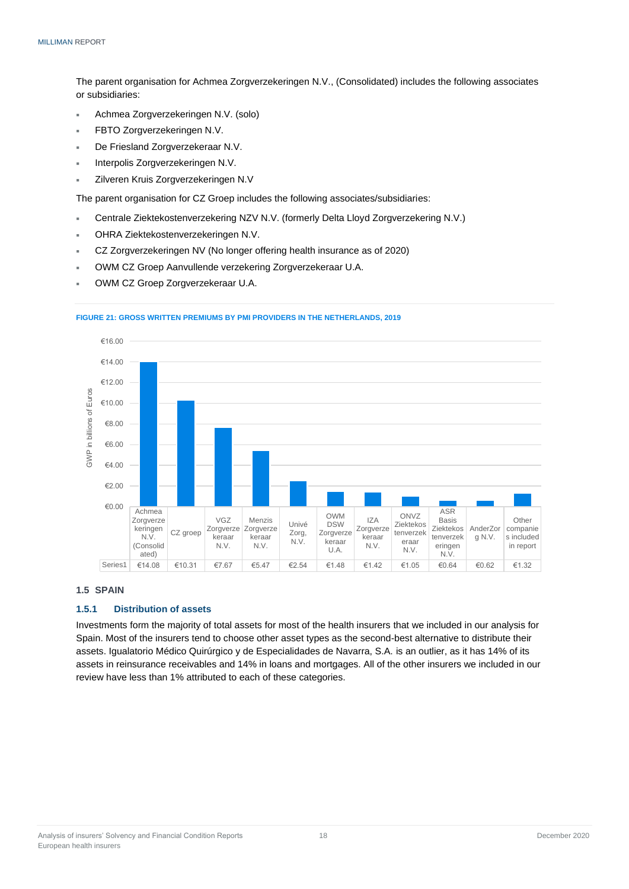The parent organisation for Achmea Zorgverzekeringen N.V., (Consolidated) includes the following associates or subsidiaries:

- Achmea Zorgverzekeringen N.V. (solo)
- FBTO Zorgverzekeringen N.V.
- De Friesland Zorgverzekeraar N.V.
- Interpolis Zorgverzekeringen N.V.
- Zilveren Kruis Zorgverzekeringen N.V

The parent organisation for CZ Groep includes the following associates/subsidiaries:

- Centrale Ziektekostenverzekering NZV N.V. (formerly Delta Lloyd Zorgverzekering N.V.)
- OHRA Ziektekostenverzekeringen N.V.
- CZ Zorgverzekeringen NV (No longer offering health insurance as of 2020)
- OWM CZ Groep Aanvullende verzekering Zorgverzekeraar U.A.
- OWM CZ Groep Zorgverzekeraar U.A.

#### **FIGURE 21: GROSS WRITTEN PREMIUMS BY PMI PROVIDERS IN THE NETHERLANDS, 2019**



#### **1.5 SPAIN**

#### **1.5.1 Distribution of assets**

Investments form the majority of total assets for most of the health insurers that we included in our analysis for Spain. Most of the insurers tend to choose other asset types as the second-best alternative to distribute their assets. Igualatorio Médico Quirúrgico y de Especialidades de Navarra, S.A. is an outlier, as it has 14% of its assets in reinsurance receivables and 14% in loans and mortgages. All of the other insurers we included in our review have less than 1% attributed to each of these categories.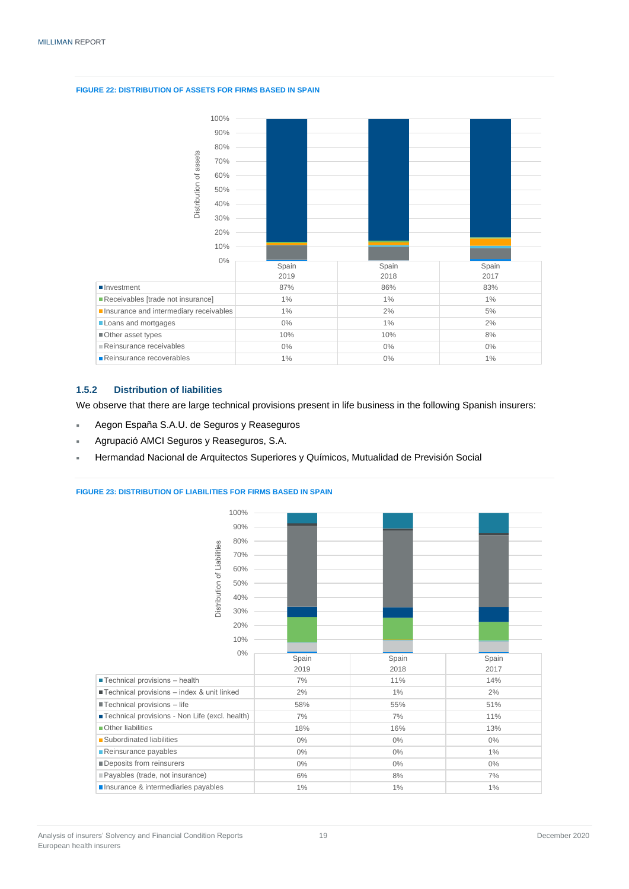#### **FIGURE 22: DISTRIBUTION OF ASSETS FOR FIRMS BASED IN SPAIN**



#### **1.5.2 Distribution of liabilities**

We observe that there are large technical provisions present in life business in the following Spanish insurers:

- Aegon España S.A.U. de Seguros y Reaseguros
- Agrupació AMCI Seguros y Reaseguros, S.A.
- Hermandad Nacional de Arquitectos Superiores y Químicos, Mutualidad de Previsión Social



#### **FIGURE 23: DISTRIBUTION OF LIABILITIES FOR FIRMS BASED IN SPAIN**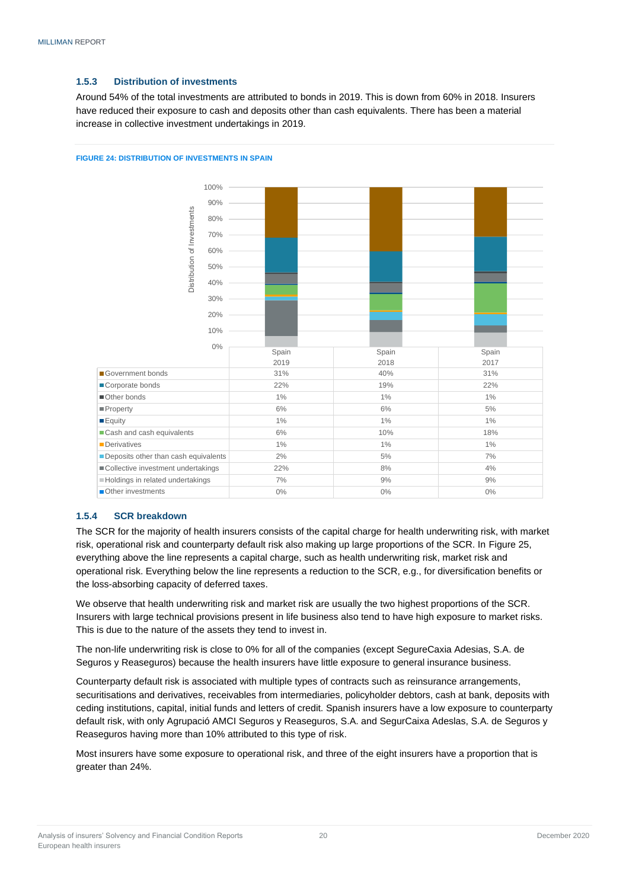#### **1.5.3 Distribution of investments**

Around 54% of the total investments are attributed to bonds in 2019. This is down from 60% in 2018. Insurers have reduced their exposure to cash and deposits other than cash equivalents. There has been a material increase in collective investment undertakings in 2019.



#### **FIGURE 24: DISTRIBUTION OF INVESTMENTS IN SPAIN**

#### **1.5.4 SCR breakdown**

The SCR for the majority of health insurers consists of the capital charge for health underwriting risk, with market risk, operational risk and counterparty default risk also making up large proportions of the SCR. In Figure 25, everything above the line represents a capital charge, such as health underwriting risk, market risk and operational risk. Everything below the line represents a reduction to the SCR, e.g., for diversification benefits or the loss-absorbing capacity of deferred taxes.

We observe that health underwriting risk and market risk are usually the two highest proportions of the SCR. Insurers with large technical provisions present in life business also tend to have high exposure to market risks. This is due to the nature of the assets they tend to invest in.

The non-life underwriting risk is close to 0% for all of the companies (except SegureCaxia Adesias, S.A. de Seguros y Reaseguros) because the health insurers have little exposure to general insurance business.

Counterparty default risk is associated with multiple types of contracts such as reinsurance arrangements, securitisations and derivatives, receivables from intermediaries, policyholder debtors, cash at bank, deposits with ceding institutions, capital, initial funds and letters of credit. Spanish insurers have a low exposure to counterparty default risk, with only Agrupació AMCI Seguros y Reaseguros, S.A. and SegurCaixa Adeslas, S.A. de Seguros y Reaseguros having more than 10% attributed to this type of risk.

Most insurers have some exposure to operational risk, and three of the eight insurers have a proportion that is greater than 24%.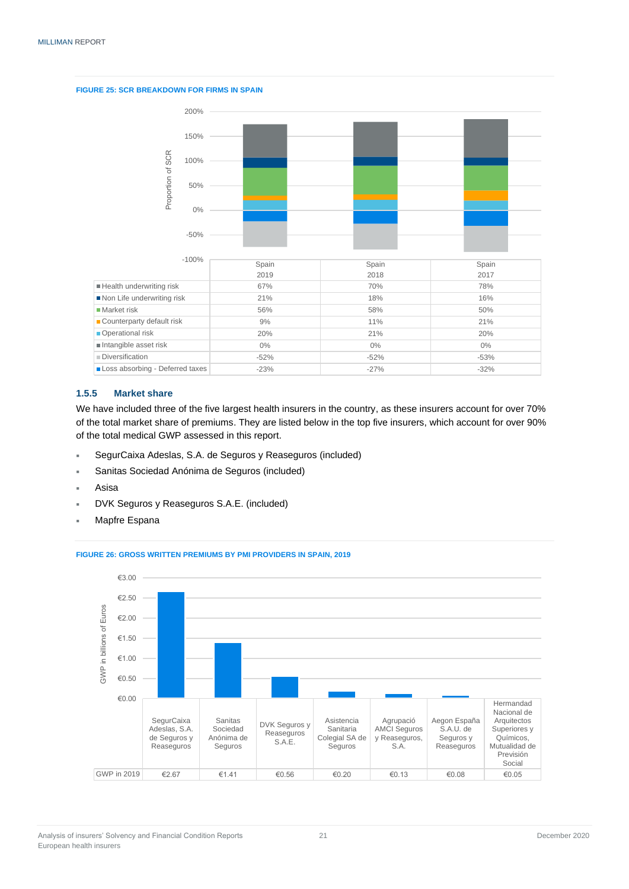#### **FIGURE 25: SCR BREAKDOWN FOR FIRMS IN SPAIN**



| .                               | Spain  | Spain  | Spain  |
|---------------------------------|--------|--------|--------|
|                                 | 2019   | 2018   | 2017   |
| ■ Health underwriting risk      | 67%    | 70%    | 78%    |
| Non Life underwriting risk      | 21%    | 18%    | 16%    |
| Market risk                     | 56%    | 58%    | 50%    |
| Counterparty default risk       | 9%     | 11%    | 21%    |
| Operational risk                | 20%    | 21%    | 20%    |
| Intangible asset risk           | $0\%$  | $0\%$  | $0\%$  |
| Diversification                 | $-52%$ | $-52%$ | $-53%$ |
| Loss absorbing - Deferred taxes | $-23%$ | $-27%$ | $-32%$ |

#### **1.5.5 Market share**

We have included three of the five largest health insurers in the country, as these insurers account for over 70% of the total market share of premiums. They are listed below in the top five insurers, which account for over 90% of the total medical GWP assessed in this report.

- SegurCaixa Adeslas, S.A. de Seguros y Reaseguros (included)
- Sanitas Sociedad Anónima de Seguros (included)
- Asisa
- DVK Seguros y Reaseguros S.A.E. (included)
- Mapfre Espana

#### **FIGURE 26: GROSS WRITTEN PREMIUMS BY PMI PROVIDERS IN SPAIN, 2019**

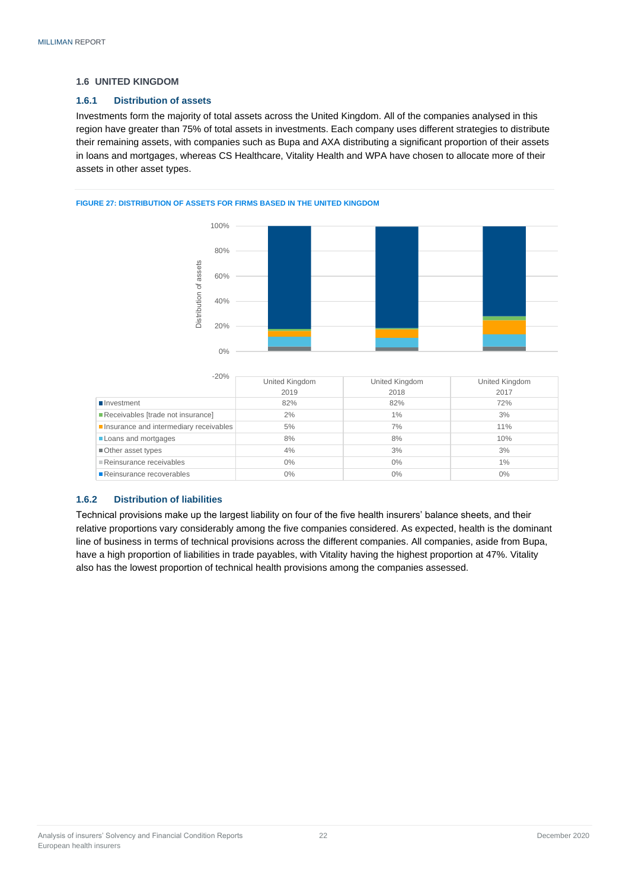#### **1.6 UNITED KINGDOM**

#### **1.6.1 Distribution of assets**

Investments form the majority of total assets across the United Kingdom. All of the companies analysed in this region have greater than 75% of total assets in investments. Each company uses different strategies to distribute their remaining assets, with companies such as Bupa and AXA distributing a significant proportion of their assets in loans and mortgages, whereas CS Healthcare, Vitality Health and WPA have chosen to allocate more of their assets in other asset types.

#### **FIGURE 27: DISTRIBUTION OF ASSETS FOR FIRMS BASED IN THE UNITED KINGDOM**



| $-20%$                                 | United Kingdom<br>2019 | United Kingdom<br>2018 | United Kingdom<br>2017 |
|----------------------------------------|------------------------|------------------------|------------------------|
| <b>■</b> Investment                    | 82%                    | 82%                    | 72%                    |
| Receivables [trade not insurance]      | 2%                     | 1%                     | 3%                     |
| Insurance and intermediary receivables | 5%                     | 7%                     | 11%                    |
| Loans and mortgages                    | 8%                     | 8%                     | 10%                    |
| Other asset types                      | 4%                     | 3%                     | 3%                     |
| Reinsurance receivables                | $0\%$                  | $0\%$                  | 1%                     |
| Reinsurance recoverables               | $0\%$                  | $0\%$                  | $0\%$                  |

#### **1.6.2 Distribution of liabilities**

Technical provisions make up the largest liability on four of the five health insurers' balance sheets, and their relative proportions vary considerably among the five companies considered. As expected, health is the dominant line of business in terms of technical provisions across the different companies. All companies, aside from Bupa, have a high proportion of liabilities in trade payables, with Vitality having the highest proportion at 47%. Vitality also has the lowest proportion of technical health provisions among the companies assessed.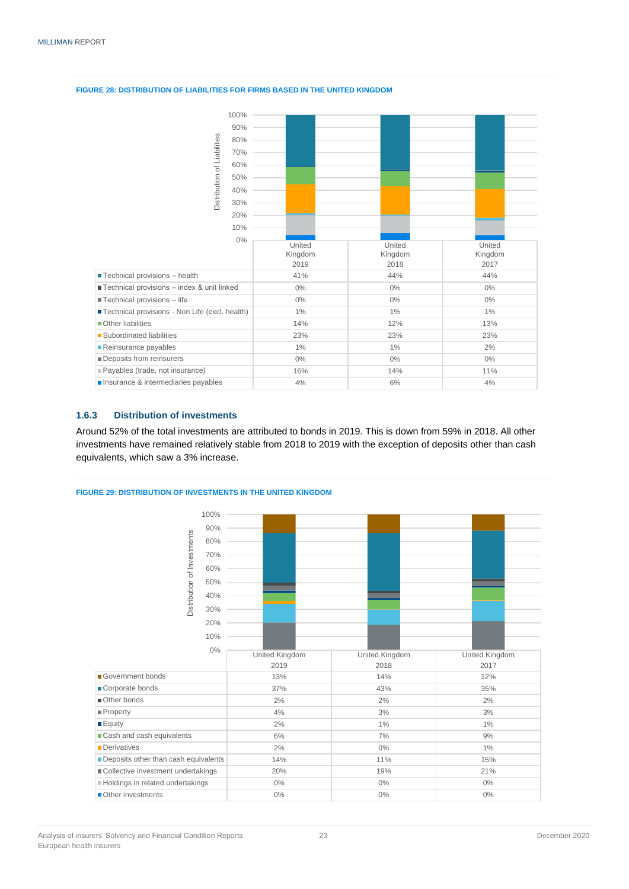



#### **1.6.3 Distribution of investments**

Around 52% of the total investments are attributed to bonds in 2019. This is down from 59% in 2018. All other investments have remained relatively stable from 2018 to 2019 with the exception of deposits other than cash equivalents, which saw a 3% increase.



#### **FIGURE 29: DISTRIBUTION OF INVESTMENTS IN THE UNITED KINGDOM**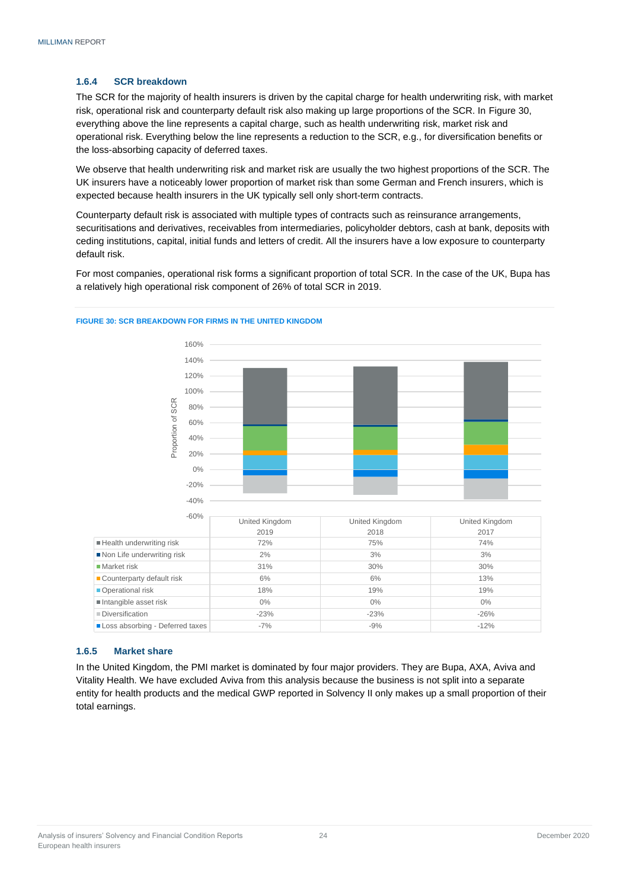#### **1.6.4 SCR breakdown**

The SCR for the majority of health insurers is driven by the capital charge for health underwriting risk, with market risk, operational risk and counterparty default risk also making up large proportions of the SCR. In Figure 30, everything above the line represents a capital charge, such as health underwriting risk, market risk and operational risk. Everything below the line represents a reduction to the SCR, e.g., for diversification benefits or the loss-absorbing capacity of deferred taxes.

We observe that health underwriting risk and market risk are usually the two highest proportions of the SCR. The UK insurers have a noticeably lower proportion of market risk than some German and French insurers, which is expected because health insurers in the UK typically sell only short-term contracts.

Counterparty default risk is associated with multiple types of contracts such as reinsurance arrangements, securitisations and derivatives, receivables from intermediaries, policyholder debtors, cash at bank, deposits with ceding institutions, capital, initial funds and letters of credit. All the insurers have a low exposure to counterparty default risk.

For most companies, operational risk forms a significant proportion of total SCR. In the case of the UK, Bupa has a relatively high operational risk component of 26% of total SCR in 2019.



#### **FIGURE 30: SCR BREAKDOWN FOR FIRMS IN THE UNITED KINGDOM**

| 1.6.5 | <b>Market share</b> |  |
|-------|---------------------|--|

In the United Kingdom, the PMI market is dominated by four major providers. They are Bupa, AXA, Aviva and Vitality Health. We have excluded Aviva from this analysis because the business is not split into a separate entity for health products and the medical GWP reported in Solvency II only makes up a small proportion of their total earnings.

■Counterparty default risk 6% 6% 6% 6% 13% Operational risk 18% 19% 19% Intangible asset risk 0% 0% 0%  $\blacksquare$  Diversification  $-23\%$  -23%  $-26\%$ Loss absorbing - Deferred taxes  $-7\%$  -7% -12% -9% -12% -12%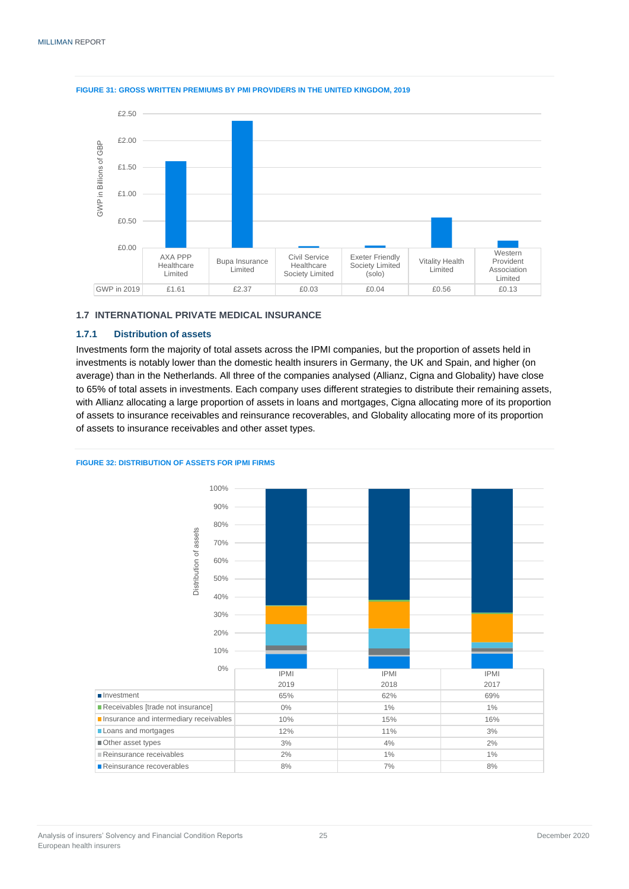

#### **FIGURE 31: GROSS WRITTEN PREMIUMS BY PMI PROVIDERS IN THE UNITED KINGDOM, 2019**

#### **1.7 INTERNATIONAL PRIVATE MEDICAL INSURANCE**

#### **1.7.1 Distribution of assets**

Investments form the majority of total assets across the IPMI companies, but the proportion of assets held in investments is notably lower than the domestic health insurers in Germany, the UK and Spain, and higher (on average) than in the Netherlands. All three of the companies analysed (Allianz, Cigna and Globality) have close to 65% of total assets in investments. Each company uses different strategies to distribute their remaining assets, with Allianz allocating a large proportion of assets in loans and mortgages, Cigna allocating more of its proportion of assets to insurance receivables and reinsurance recoverables, and Globality allocating more of its proportion of assets to insurance receivables and other asset types.



#### **FIGURE 32: DISTRIBUTION OF ASSETS FOR IPMI FIRMS**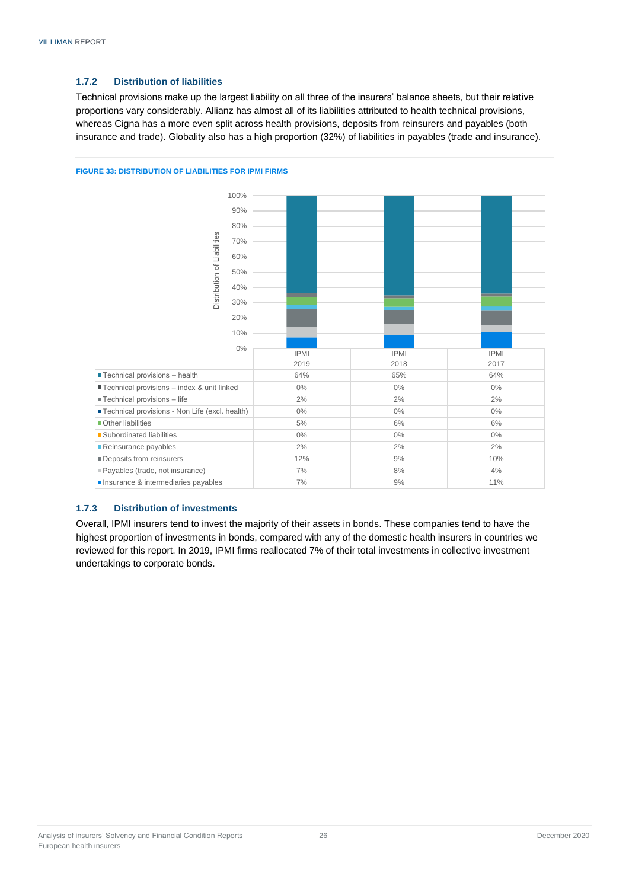#### **1.7.2 Distribution of liabilities**

Technical provisions make up the largest liability on all three of the insurers' balance sheets, but their relative proportions vary considerably. Allianz has almost all of its liabilities attributed to health technical provisions, whereas Cigna has a more even split across health provisions, deposits from reinsurers and payables (both insurance and trade). Globality also has a high proportion (32%) of liabilities in payables (trade and insurance).



#### **FIGURE 33: DISTRIBUTION OF LIABILITIES FOR IPMI FIRMS**

#### **1.7.3 Distribution of investments**

Overall, IPMI insurers tend to invest the majority of their assets in bonds. These companies tend to have the highest proportion of investments in bonds, compared with any of the domestic health insurers in countries we reviewed for this report. In 2019, IPMI firms reallocated 7% of their total investments in collective investment undertakings to corporate bonds.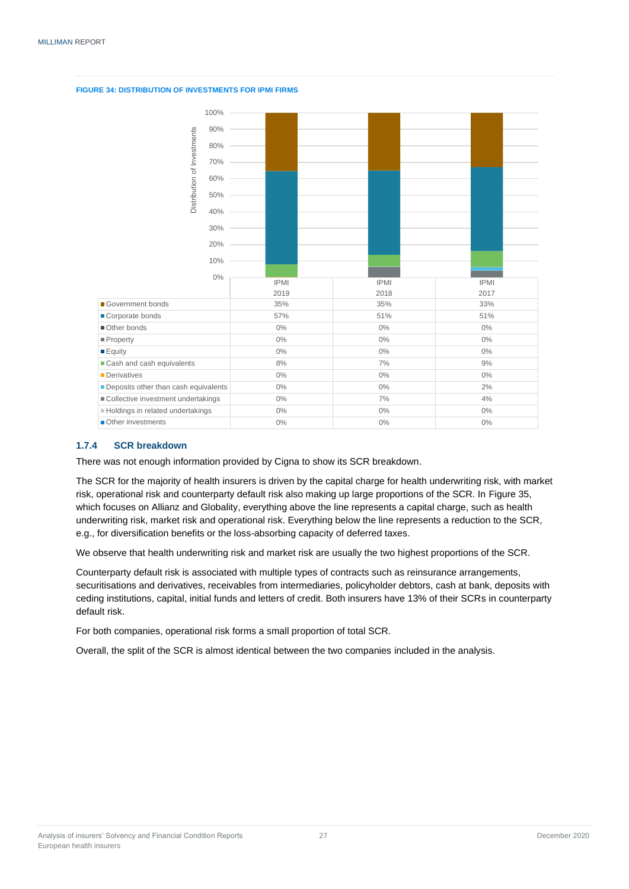#### **FIGURE 34: DISTRIBUTION OF INVESTMENTS FOR IPMI FIRMS**



#### **1.7.4 SCR breakdown**

There was not enough information provided by Cigna to show its SCR breakdown.

The SCR for the majority of health insurers is driven by the capital charge for health underwriting risk, with market risk, operational risk and counterparty default risk also making up large proportions of the SCR. In Figure 35, which focuses on Allianz and Globality, everything above the line represents a capital charge, such as health underwriting risk, market risk and operational risk. Everything below the line represents a reduction to the SCR, e.g., for diversification benefits or the loss-absorbing capacity of deferred taxes.

We observe that health underwriting risk and market risk are usually the two highest proportions of the SCR.

Counterparty default risk is associated with multiple types of contracts such as reinsurance arrangements, securitisations and derivatives, receivables from intermediaries, policyholder debtors, cash at bank, deposits with ceding institutions, capital, initial funds and letters of credit. Both insurers have 13% of their SCRs in counterparty default risk.

For both companies, operational risk forms a small proportion of total SCR.

Overall, the split of the SCR is almost identical between the two companies included in the analysis.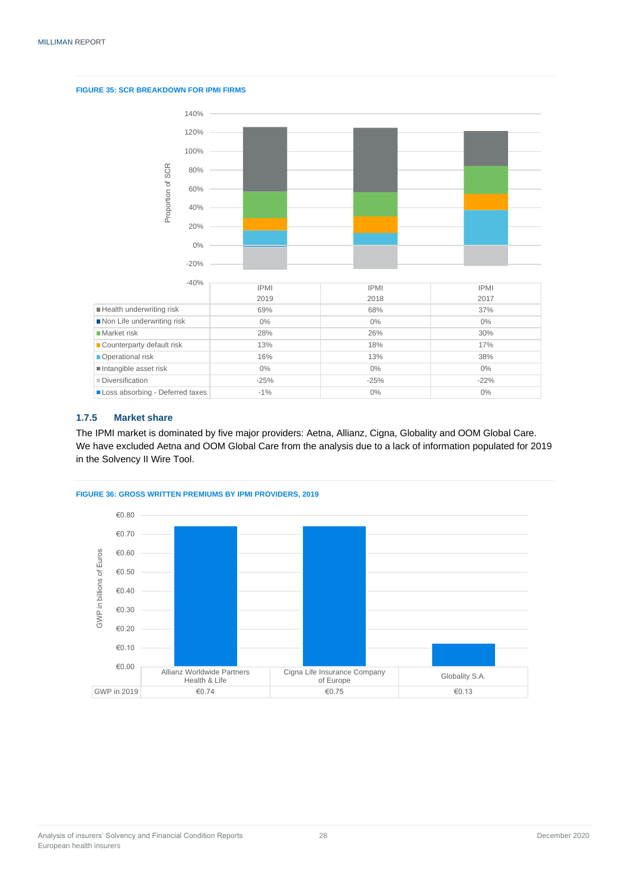**FIGURE 35: SCR BREAKDOWN FOR IPMI FIRMS**



|                                 | <b>IPMI</b> | <b>IPMI</b> | <b>IPMI</b> |
|---------------------------------|-------------|-------------|-------------|
|                                 | 2019        | 2018        | 2017        |
| ■ Health underwriting risk      | 69%         | 68%         | 37%         |
| Non Life underwriting risk      | $0\%$       | $0\%$       | $0\%$       |
| $M$ arket risk                  | 28%         | 26%         | 30%         |
| Counterparty default risk       | 13%         | 18%         | 17%         |
| Operational risk                | 16%         | 13%         | 38%         |
| Intangible asset risk           | $0\%$       | $0\%$       | $0\%$       |
| Diversification                 | $-25%$      | $-25%$      | $-22%$      |
| Loss absorbing - Deferred taxes | $-1%$       | $0\%$       | $0\%$       |

#### **1.7.5 Market share**

The IPMI market is dominated by five major providers: Aetna, Allianz, Cigna, Globality and OOM Global Care. We have excluded Aetna and OOM Global Care from the analysis due to a lack of information populated for 2019 in the Solvency II Wire Tool.

<span id="page-29-0"></span>

#### **FIGURE 36: GROSS WRITTEN PREMIUMS BY IPMI PROVIDERS, 2019**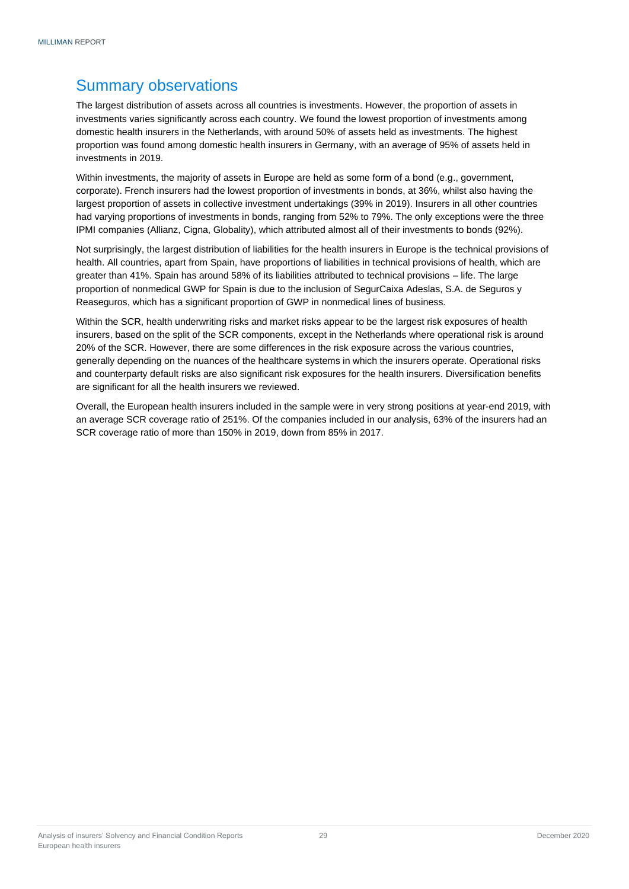### Summary observations

The largest distribution of assets across all countries is investments. However, the proportion of assets in investments varies significantly across each country. We found the lowest proportion of investments among domestic health insurers in the Netherlands, with around 50% of assets held as investments. The highest proportion was found among domestic health insurers in Germany, with an average of 95% of assets held in investments in 2019.

Within investments, the majority of assets in Europe are held as some form of a bond (e.g., government, corporate). French insurers had the lowest proportion of investments in bonds, at 36%, whilst also having the largest proportion of assets in collective investment undertakings (39% in 2019). Insurers in all other countries had varying proportions of investments in bonds, ranging from 52% to 79%. The only exceptions were the three IPMI companies (Allianz, Cigna, Globality), which attributed almost all of their investments to bonds (92%).

Not surprisingly, the largest distribution of liabilities for the health insurers in Europe is the technical provisions of health. All countries, apart from Spain, have proportions of liabilities in technical provisions of health, which are greater than 41%. Spain has around 58% of its liabilities attributed to technical provisions – life. The large proportion of nonmedical GWP for Spain is due to the inclusion of SegurCaixa Adeslas, S.A. de Seguros y Reaseguros, which has a significant proportion of GWP in nonmedical lines of business.

Within the SCR, health underwriting risks and market risks appear to be the largest risk exposures of health insurers, based on the split of the SCR components, except in the Netherlands where operational risk is around 20% of the SCR. However, there are some differences in the risk exposure across the various countries, generally depending on the nuances of the healthcare systems in which the insurers operate. Operational risks and counterparty default risks are also significant risk exposures for the health insurers. Diversification benefits are significant for all the health insurers we reviewed.

<span id="page-30-0"></span>Overall, the European health insurers included in the sample were in very strong positions at year-end 2019, with an average SCR coverage ratio of 251%. Of the companies included in our analysis, 63% of the insurers had an SCR coverage ratio of more than 150% in 2019, down from 85% in 2017.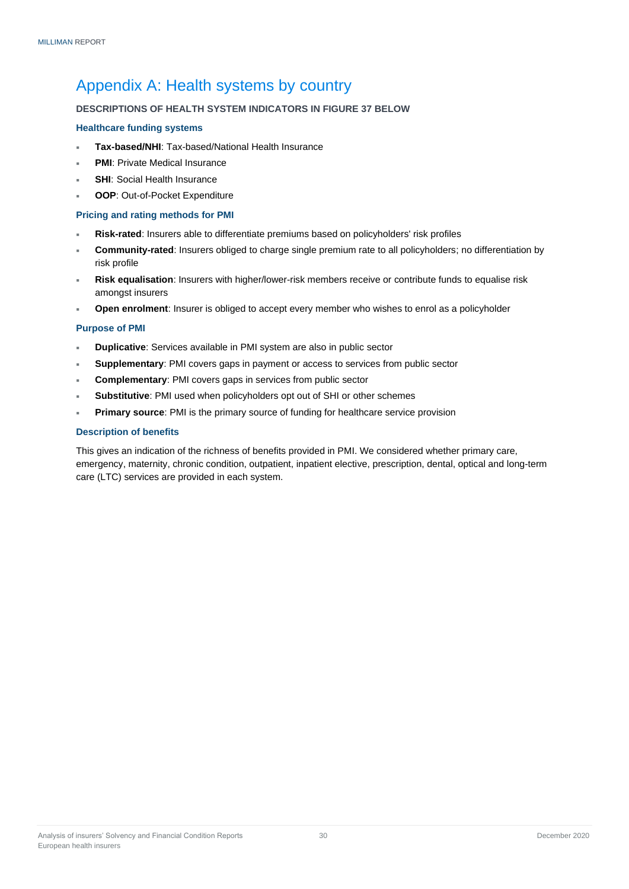### Appendix A: Health systems by country

#### **DESCRIPTIONS OF HEALTH SYSTEM INDICATORS IN FIGURE 37 BELOW**

#### **Healthcare funding systems**

- **Tax-based/NHI**: Tax-based/National Health Insurance
- **PMI:** Private Medical Insurance
- **SHI: Social Health Insurance**
- **OOP**: Out-of-Pocket Expenditure

#### **Pricing and rating methods for PMI**

- **Risk-rated**: Insurers able to differentiate premiums based on policyholders' risk profiles
- **Community-rated**: Insurers obliged to charge single premium rate to all policyholders; no differentiation by risk profile
- **Risk equalisation**: Insurers with higher/lower-risk members receive or contribute funds to equalise risk amongst insurers
- **Open enrolment:** Insurer is obliged to accept every member who wishes to enrol as a policyholder

#### **Purpose of PMI**

- **Duplicative**: Services available in PMI system are also in public sector
- **Supplementary**: PMI covers gaps in payment or access to services from public sector
- **Complementary**: PMI covers gaps in services from public sector
- **Substitutive**: PMI used when policyholders opt out of SHI or other schemes
- **Primary source:** PMI is the primary source of funding for healthcare service provision

#### **Description of benefits**

This gives an indication of the richness of benefits provided in PMI. We considered whether primary care, emergency, maternity, chronic condition, outpatient, inpatient elective, prescription, dental, optical and long-term care (LTC) services are provided in each system.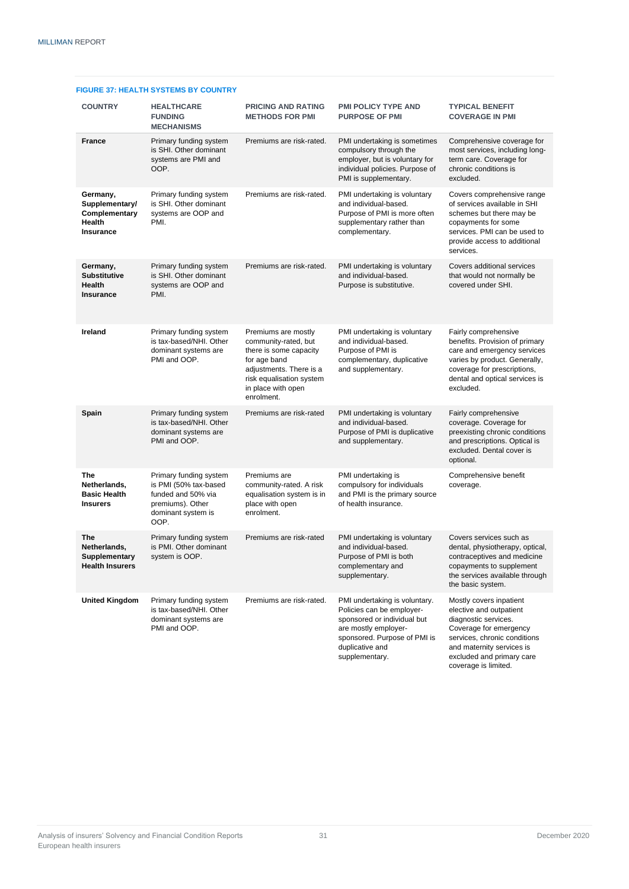|                                                                    | <b>FIGURE 37: HEALTH SYSTEMS BY COUNTRY</b>                                                                             |                                                                                                                                                                                  |                                                                                                                                                                                        |                                                                                                                                                                                                      |
|--------------------------------------------------------------------|-------------------------------------------------------------------------------------------------------------------------|----------------------------------------------------------------------------------------------------------------------------------------------------------------------------------|----------------------------------------------------------------------------------------------------------------------------------------------------------------------------------------|------------------------------------------------------------------------------------------------------------------------------------------------------------------------------------------------------|
| <b>COUNTRY</b>                                                     | <b>HEALTHCARE</b><br><b>FUNDING</b><br><b>MECHANISMS</b>                                                                | <b>PRICING AND RATING</b><br><b>METHODS FOR PMI</b>                                                                                                                              | PMI POLICY TYPE AND<br><b>PURPOSE OF PMI</b>                                                                                                                                           | <b>TYPICAL BENEFIT</b><br><b>COVERAGE IN PMI</b>                                                                                                                                                     |
| <b>France</b>                                                      | Primary funding system<br>is SHI. Other dominant<br>systems are PMI and<br>OOP.                                         | Premiums are risk-rated.                                                                                                                                                         | PMI undertaking is sometimes<br>compulsory through the<br>employer, but is voluntary for<br>individual policies. Purpose of<br>PMI is supplementary.                                   | Comprehensive coverage for<br>most services, including long-<br>term care. Coverage for<br>chronic conditions is<br>excluded.                                                                        |
| Germany,<br>Supplementary/<br>Complementary<br>Health<br>Insurance | Primary funding system<br>is SHI. Other dominant<br>systems are OOP and<br>PMI.                                         | Premiums are risk-rated.                                                                                                                                                         | PMI undertaking is voluntary<br>and individual-based.<br>Purpose of PMI is more often<br>supplementary rather than<br>complementary.                                                   | Covers comprehensive range<br>of services available in SHI<br>schemes but there may be<br>copayments for some<br>services. PMI can be used to<br>provide access to additional<br>services.           |
| Germany,<br><b>Substitutive</b><br>Health<br><b>Insurance</b>      | Primary funding system<br>is SHI. Other dominant<br>systems are OOP and<br>PMI.                                         | Premiums are risk-rated.                                                                                                                                                         | PMI undertaking is voluntary<br>and individual-based.<br>Purpose is substitutive.                                                                                                      | Covers additional services<br>that would not normally be<br>covered under SHI.                                                                                                                       |
| Ireland                                                            | Primary funding system<br>is tax-based/NHI. Other<br>dominant systems are<br>PMI and OOP.                               | Premiums are mostly<br>community-rated, but<br>there is some capacity<br>for age band<br>adjustments. There is a<br>risk equalisation system<br>in place with open<br>enrolment. | PMI undertaking is voluntary<br>and individual-based.<br>Purpose of PMI is<br>complementary, duplicative<br>and supplementary.                                                         | Fairly comprehensive<br>benefits. Provision of primary<br>care and emergency services<br>varies by product. Generally,<br>coverage for prescriptions,<br>dental and optical services is<br>excluded. |
| Spain                                                              | Primary funding system<br>is tax-based/NHI. Other<br>dominant systems are<br>PMI and OOP.                               | Premiums are risk-rated                                                                                                                                                          | PMI undertaking is voluntary<br>and individual-based.<br>Purpose of PMI is duplicative<br>and supplementary.                                                                           | Fairly comprehensive<br>coverage. Coverage for<br>preexisting chronic conditions<br>and prescriptions. Optical is<br>excluded. Dental cover is<br>optional.                                          |
| The<br>Netherlands,<br><b>Basic Health</b><br><b>Insurers</b>      | Primary funding system<br>is PMI (50% tax-based<br>funded and 50% via<br>premiums). Other<br>dominant system is<br>OOP. | Premiums are<br>community-rated. A risk<br>equalisation system is in<br>place with open<br>enrolment.                                                                            | PMI undertaking is<br>compulsory for individuals<br>and PMI is the primary source<br>of health insurance.                                                                              | Comprehensive benefit<br>coverage.                                                                                                                                                                   |
| The<br>Netherlands,<br>Supplementary<br><b>Health Insurers</b>     | Primary funding system<br>is PMI. Other dominant<br>system is OOP.                                                      | Premiums are risk-rated                                                                                                                                                          | PMI undertaking is voluntary<br>and individual-based.<br>Purpose of PMI is both<br>complementary and<br>supplementary.                                                                 | Covers services such as<br>dental, physiotherapy, optical,<br>contraceptives and medicine<br>copayments to supplement<br>the services available through<br>the basic system.                         |
| <b>United Kingdom</b>                                              | Primary funding system<br>is tax-based/NHI. Other<br>dominant systems are<br>PMI and OOP.                               | Premiums are risk-rated.                                                                                                                                                         | PMI undertaking is voluntary.<br>Policies can be employer-<br>sponsored or individual but<br>are mostly employer-<br>sponsored. Purpose of PMI is<br>duplicative and<br>supplementary. | Mostly covers inpatient<br>elective and outpatient<br>diagnostic services.<br>Coverage for emergency<br>services, chronic conditions<br>and maternity services is<br>excluded and primary care       |

coverage is limited.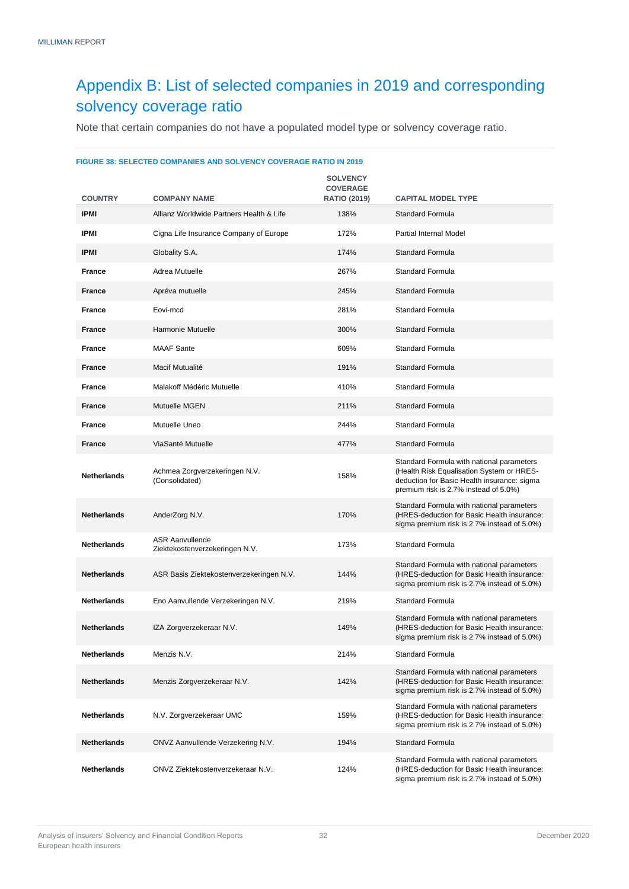### <span id="page-33-0"></span>Appendix B: List of selected companies in 2019 and corresponding solvency coverage ratio

Note that certain companies do not have a populated model type or solvency coverage ratio.

#### **FIGURE 38: SELECTED COMPANIES AND SOLVENCY COVERAGE RATIO IN 2019**

| <b>COUNTRY</b>     | <b>COMPANY NAME</b>                                      | <b>SOLVENCY</b><br><b>COVERAGE</b><br><b>RATIO (2019)</b> | <b>CAPITAL MODEL TYPE</b>                                                                                                                                                      |
|--------------------|----------------------------------------------------------|-----------------------------------------------------------|--------------------------------------------------------------------------------------------------------------------------------------------------------------------------------|
| <b>IPMI</b>        | Allianz Worldwide Partners Health & Life                 | 138%                                                      | <b>Standard Formula</b>                                                                                                                                                        |
| <b>IPMI</b>        | Cigna Life Insurance Company of Europe                   | 172%                                                      | Partial Internal Model                                                                                                                                                         |
| <b>IPMI</b>        | Globality S.A.                                           | 174%                                                      | <b>Standard Formula</b>                                                                                                                                                        |
| <b>France</b>      | Adrea Mutuelle                                           | 267%                                                      | <b>Standard Formula</b>                                                                                                                                                        |
| France             | Apréva mutuelle                                          | 245%                                                      | Standard Formula                                                                                                                                                               |
| <b>France</b>      | Eovi-mcd                                                 | 281%                                                      | <b>Standard Formula</b>                                                                                                                                                        |
| <b>France</b>      | Harmonie Mutuelle                                        | 300%                                                      | Standard Formula                                                                                                                                                               |
| <b>France</b>      | <b>MAAF</b> Sante                                        | 609%                                                      | <b>Standard Formula</b>                                                                                                                                                        |
| <b>France</b>      | Macif Mutualité                                          | 191%                                                      | Standard Formula                                                                                                                                                               |
| <b>France</b>      | Malakoff Médéric Mutuelle                                | 410%                                                      | <b>Standard Formula</b>                                                                                                                                                        |
| <b>France</b>      | Mutuelle MGEN                                            | 211%                                                      | <b>Standard Formula</b>                                                                                                                                                        |
| <b>France</b>      | Mutuelle Uneo                                            | 244%                                                      | Standard Formula                                                                                                                                                               |
| <b>France</b>      | ViaSanté Mutuelle                                        | 477%                                                      | <b>Standard Formula</b>                                                                                                                                                        |
| <b>Netherlands</b> | Achmea Zorgverzekeringen N.V.<br>(Consolidated)          | 158%                                                      | Standard Formula with national parameters<br>(Health Risk Equalisation System or HRES-<br>deduction for Basic Health insurance: sigma<br>premium risk is 2.7% instead of 5.0%) |
| <b>Netherlands</b> | AnderZorg N.V.                                           | 170%                                                      | Standard Formula with national parameters<br>(HRES-deduction for Basic Health insurance:<br>sigma premium risk is 2.7% instead of 5.0%)                                        |
| <b>Netherlands</b> | <b>ASR Aanvullende</b><br>Ziektekostenverzekeringen N.V. | 173%                                                      | Standard Formula                                                                                                                                                               |
| <b>Netherlands</b> | ASR Basis Ziektekostenverzekeringen N.V.                 | 144%                                                      | Standard Formula with national parameters<br>(HRES-deduction for Basic Health insurance:<br>sigma premium risk is 2.7% instead of 5.0%)                                        |
| <b>Netherlands</b> | Eno Aanvullende Verzekeringen N.V.                       | 219%                                                      | <b>Standard Formula</b>                                                                                                                                                        |
| <b>Netherlands</b> | IZA Zorgverzekeraar N.V.                                 | 149%                                                      | Standard Formula with national parameters<br>(HRES-deduction for Basic Health insurance:<br>sigma premium risk is 2.7% instead of 5.0%)                                        |
| <b>Netherlands</b> | Menzis N.V.                                              | 214%                                                      | <b>Standard Formula</b>                                                                                                                                                        |
| <b>Netherlands</b> | Menzis Zorgverzekeraar N.V.                              | 142%                                                      | Standard Formula with national parameters<br>(HRES-deduction for Basic Health insurance:<br>sigma premium risk is 2.7% instead of 5.0%)                                        |
| <b>Netherlands</b> | N.V. Zorgverzekeraar UMC                                 | 159%                                                      | Standard Formula with national parameters<br>(HRES-deduction for Basic Health insurance:<br>sigma premium risk is 2.7% instead of 5.0%)                                        |
| <b>Netherlands</b> | ONVZ Aanvullende Verzekering N.V.                        | 194%                                                      | Standard Formula                                                                                                                                                               |
| <b>Netherlands</b> | ONVZ Ziektekostenverzekeraar N.V.                        | 124%                                                      | Standard Formula with national parameters<br>(HRES-deduction for Basic Health insurance:<br>sigma premium risk is 2.7% instead of 5.0%)                                        |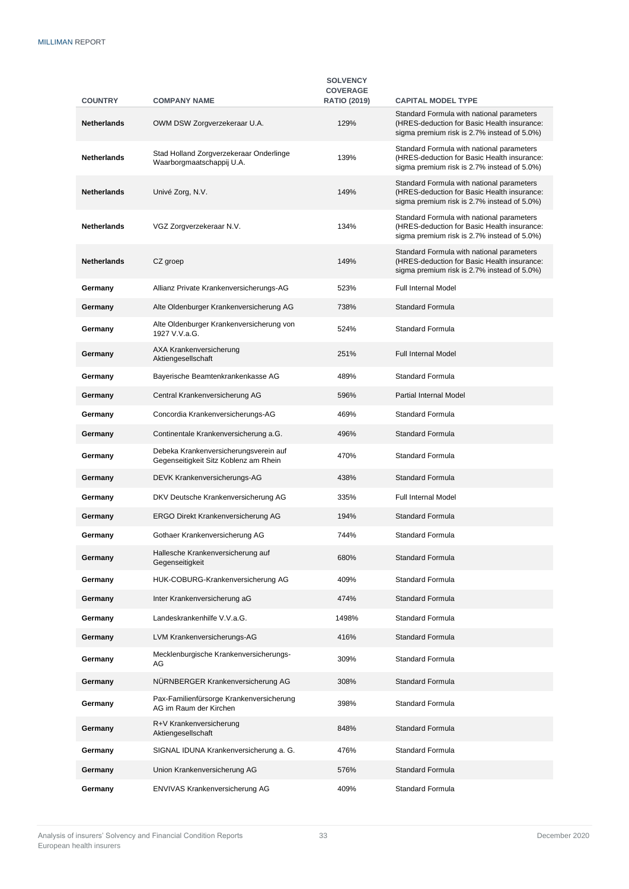| <b>COUNTRY</b>     | <b>COMPANY NAME</b>                                                            | <b>SOLVENCY</b><br><b>COVERAGE</b><br><b>RATIO (2019)</b> | <b>CAPITAL MODEL TYPE</b>                                                                                                               |
|--------------------|--------------------------------------------------------------------------------|-----------------------------------------------------------|-----------------------------------------------------------------------------------------------------------------------------------------|
| <b>Netherlands</b> | OWM DSW Zorgverzekeraar U.A.                                                   | 129%                                                      | Standard Formula with national parameters<br>(HRES-deduction for Basic Health insurance:<br>sigma premium risk is 2.7% instead of 5.0%) |
| <b>Netherlands</b> | Stad Holland Zorgverzekeraar Onderlinge<br>Waarborgmaatschappij U.A.           | 139%                                                      | Standard Formula with national parameters<br>(HRES-deduction for Basic Health insurance:<br>sigma premium risk is 2.7% instead of 5.0%) |
| <b>Netherlands</b> | Univé Zorg, N.V.                                                               | 149%                                                      | Standard Formula with national parameters<br>(HRES-deduction for Basic Health insurance:<br>sigma premium risk is 2.7% instead of 5.0%) |
| <b>Netherlands</b> | VGZ Zorgverzekeraar N.V.                                                       | 134%                                                      | Standard Formula with national parameters<br>(HRES-deduction for Basic Health insurance:<br>sigma premium risk is 2.7% instead of 5.0%) |
| <b>Netherlands</b> | CZ groep                                                                       | 149%                                                      | Standard Formula with national parameters<br>(HRES-deduction for Basic Health insurance:<br>sigma premium risk is 2.7% instead of 5.0%) |
| Germany            | Allianz Private Krankenversicherungs-AG                                        | 523%                                                      | <b>Full Internal Model</b>                                                                                                              |
| Germany            | Alte Oldenburger Krankenversicherung AG                                        | 738%                                                      | <b>Standard Formula</b>                                                                                                                 |
| Germany            | Alte Oldenburger Krankenversicherung von<br>1927 V.V.a.G.                      | 524%                                                      | <b>Standard Formula</b>                                                                                                                 |
| Germany            | AXA Krankenversicherung<br>Aktiengesellschaft                                  | 251%                                                      | <b>Full Internal Model</b>                                                                                                              |
| Germany            | Bayerische Beamtenkrankenkasse AG                                              | 489%                                                      | Standard Formula                                                                                                                        |
| Germany            | Central Krankenversicherung AG                                                 | 596%                                                      | Partial Internal Model                                                                                                                  |
| Germany            | Concordia Krankenversicherungs-AG                                              | 469%                                                      | Standard Formula                                                                                                                        |
| Germany            | Continentale Krankenversicherung a.G.                                          | 496%                                                      | <b>Standard Formula</b>                                                                                                                 |
| Germany            | Debeka Krankenversicherungsverein auf<br>Gegenseitigkeit Sitz Koblenz am Rhein | 470%                                                      | <b>Standard Formula</b>                                                                                                                 |
| Germany            | DEVK Krankenversicherungs-AG                                                   | 438%                                                      | <b>Standard Formula</b>                                                                                                                 |
| Germany            | DKV Deutsche Krankenversicherung AG                                            | 335%                                                      | <b>Full Internal Model</b>                                                                                                              |
| Germany            | ERGO Direkt Krankenversicherung AG                                             | 194%                                                      | Standard Formula                                                                                                                        |
| Germany            | Gothaer Krankenversicherung AG                                                 | 744%                                                      | Standard Formula                                                                                                                        |
| Germany            | Hallesche Krankenversicherung auf<br>Gegenseitigkeit                           | 680%                                                      | <b>Standard Formula</b>                                                                                                                 |
| Germany            | HUK-COBURG-Krankenversicherung AG                                              | 409%                                                      | Standard Formula                                                                                                                        |
| Germany            | Inter Krankenversicherung aG                                                   | 474%                                                      | Standard Formula                                                                                                                        |
| Germany            | Landeskrankenhilfe V.V.a.G.                                                    | 1498%                                                     | <b>Standard Formula</b>                                                                                                                 |
| Germany            | LVM Krankenversicherungs-AG                                                    | 416%                                                      | Standard Formula                                                                                                                        |
| Germany            | Mecklenburgische Krankenversicherungs-<br>AG                                   | 309%                                                      | Standard Formula                                                                                                                        |
| Germany            | NÜRNBERGER Krankenversicherung AG                                              | 308%                                                      | Standard Formula                                                                                                                        |
| Germany            | Pax-Familienfürsorge Krankenversicherung<br>AG im Raum der Kirchen             | 398%                                                      | Standard Formula                                                                                                                        |
| Germany            | R+V Krankenversicherung<br>Aktiengesellschaft                                  | 848%                                                      | <b>Standard Formula</b>                                                                                                                 |
| Germany            | SIGNAL IDUNA Krankenversicherung a. G.                                         | 476%                                                      | Standard Formula                                                                                                                        |
| Germany            | Union Krankenversicherung AG                                                   | 576%                                                      | Standard Formula                                                                                                                        |
| Germany            | ENVIVAS Krankenversicherung AG                                                 | 409%                                                      | Standard Formula                                                                                                                        |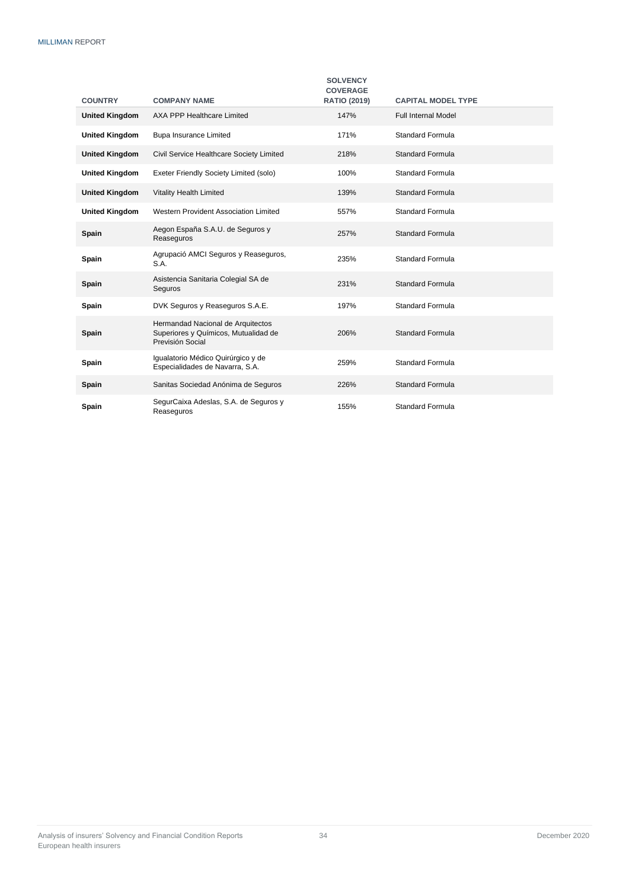|                       |                                                                                               | <b>SOLVENCY</b><br><b>COVERAGE</b> |                            |
|-----------------------|-----------------------------------------------------------------------------------------------|------------------------------------|----------------------------|
| <b>COUNTRY</b>        | <b>COMPANY NAME</b>                                                                           | <b>RATIO (2019)</b>                | <b>CAPITAL MODEL TYPE</b>  |
| <b>United Kingdom</b> | AXA PPP Healthcare Limited                                                                    | 147%                               | <b>Full Internal Model</b> |
| <b>United Kingdom</b> | <b>Bupa Insurance Limited</b>                                                                 | 171%                               | <b>Standard Formula</b>    |
| <b>United Kingdom</b> | Civil Service Healthcare Society Limited                                                      | 218%                               | <b>Standard Formula</b>    |
| <b>United Kingdom</b> | Exeter Friendly Society Limited (solo)                                                        | 100%                               | <b>Standard Formula</b>    |
| <b>United Kingdom</b> | Vitality Health Limited                                                                       | 139%                               | <b>Standard Formula</b>    |
| <b>United Kingdom</b> | Western Provident Association Limited                                                         | 557%                               | Standard Formula           |
| Spain                 | Aegon España S.A.U. de Seguros y<br>Reaseguros                                                | 257%                               | <b>Standard Formula</b>    |
| Spain                 | Agrupació AMCI Seguros y Reaseguros,<br>S.A.                                                  | 235%                               | <b>Standard Formula</b>    |
| Spain                 | Asistencia Sanitaria Colegial SA de<br>Seguros                                                | 231%                               | <b>Standard Formula</b>    |
| Spain                 | DVK Seguros y Reaseguros S.A.E.                                                               | 197%                               | <b>Standard Formula</b>    |
| Spain                 | Hermandad Nacional de Arquitectos<br>Superiores y Químicos, Mutualidad de<br>Previsión Social | 206%                               | Standard Formula           |
| Spain                 | Iqualatorio Médico Quirúrgico y de<br>Especialidades de Navarra, S.A.                         | 259%                               | <b>Standard Formula</b>    |
| Spain                 | Sanitas Sociedad Anónima de Seguros                                                           | 226%                               | <b>Standard Formula</b>    |
| Spain                 | SegurCaixa Adeslas, S.A. de Seguros y<br>Reaseguros                                           | 155%                               | <b>Standard Formula</b>    |